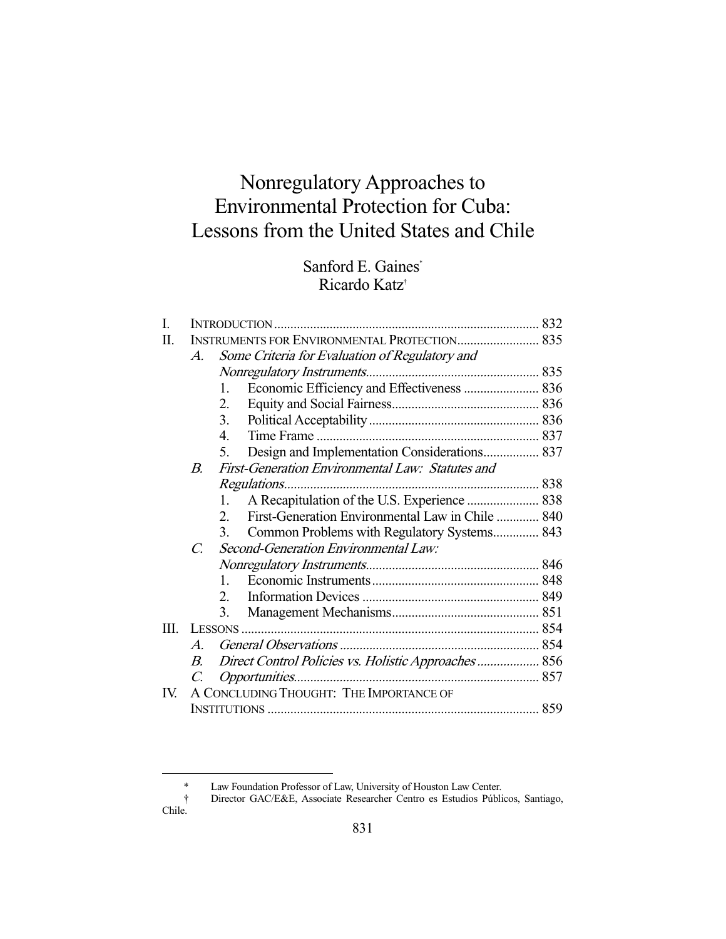# Nonregulatory Approaches to Environmental Protection for Cuba: Lessons from the United States and Chile

# Sanford E. Gaines\* Ricardo Katz†

| I.  |                                                     |                                                                 |  |
|-----|-----------------------------------------------------|-----------------------------------------------------------------|--|
| H.  | <b>INSTRUMENTS FOR ENVIRONMENTAL PROTECTION 835</b> |                                                                 |  |
|     | $\mathcal{A}.$                                      | Some Criteria for Evaluation of Regulatory and                  |  |
|     |                                                     |                                                                 |  |
|     |                                                     | $\mathbf{1}$ .                                                  |  |
|     |                                                     | 2.                                                              |  |
|     |                                                     | 3.                                                              |  |
|     |                                                     | 4.                                                              |  |
|     |                                                     | Design and Implementation Considerations 837<br>5.              |  |
|     | $B_{\cdot}$                                         | First-Generation Environmental Law: Statutes and                |  |
|     |                                                     |                                                                 |  |
|     |                                                     | A Recapitulation of the U.S. Experience  838<br>1.              |  |
|     |                                                     | First-Generation Environmental Law in Chile  840<br>$2^{\circ}$ |  |
|     |                                                     | 3.<br>Common Problems with Regulatory Systems 843               |  |
|     | $\mathcal{C}$                                       | Second-Generation Environmental Law:                            |  |
|     |                                                     |                                                                 |  |
|     |                                                     | $\mathbf{1}$                                                    |  |
|     |                                                     | 2.                                                              |  |
|     |                                                     | 3.                                                              |  |
| Ш.  |                                                     |                                                                 |  |
|     | $\boldsymbol{A}$                                    |                                                                 |  |
|     | $\boldsymbol{B}$                                    | Direct Control Policies vs. Holistic Approaches 856             |  |
|     |                                                     |                                                                 |  |
| IV. | A CONCLUDING THOUGHT: THE IMPORTANCE OF             |                                                                 |  |
|     |                                                     |                                                                 |  |

 <sup>\*</sup> Law Foundation Professor of Law, University of Houston Law Center.

 <sup>†</sup> Director GAC/E&E, Associate Researcher Centro es Estudios Públicos, Santiago, Chile.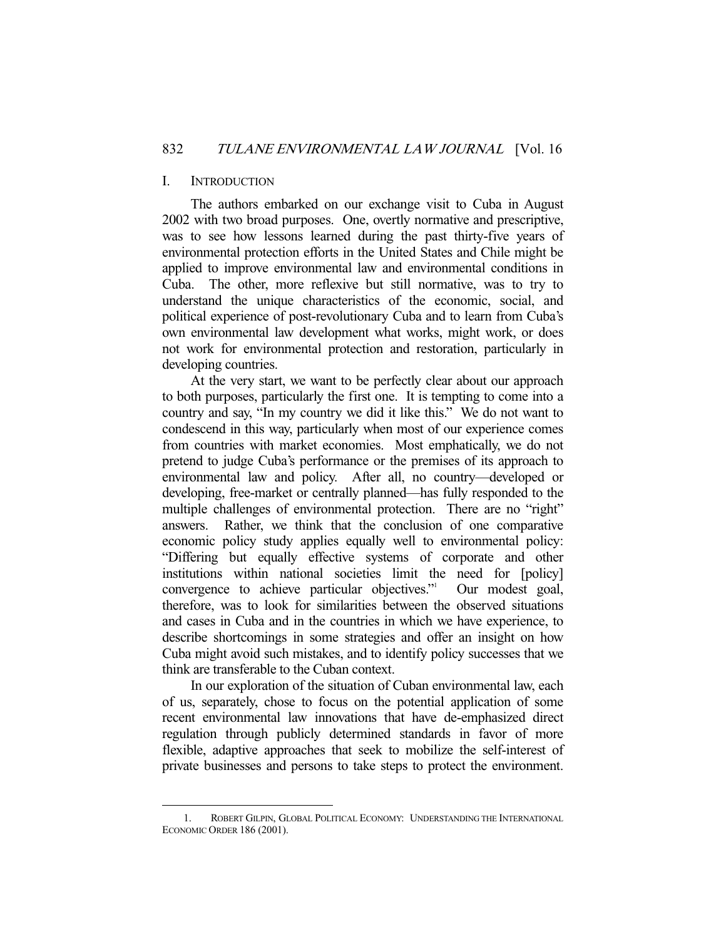#### I. INTRODUCTION

-

 The authors embarked on our exchange visit to Cuba in August 2002 with two broad purposes. One, overtly normative and prescriptive, was to see how lessons learned during the past thirty-five years of environmental protection efforts in the United States and Chile might be applied to improve environmental law and environmental conditions in Cuba. The other, more reflexive but still normative, was to try to understand the unique characteristics of the economic, social, and political experience of post-revolutionary Cuba and to learn from Cuba's own environmental law development what works, might work, or does not work for environmental protection and restoration, particularly in developing countries.

 At the very start, we want to be perfectly clear about our approach to both purposes, particularly the first one. It is tempting to come into a country and say, "In my country we did it like this." We do not want to condescend in this way, particularly when most of our experience comes from countries with market economies. Most emphatically, we do not pretend to judge Cuba's performance or the premises of its approach to environmental law and policy. After all, no country—developed or developing, free-market or centrally planned—has fully responded to the multiple challenges of environmental protection. There are no "right" answers. Rather, we think that the conclusion of one comparative economic policy study applies equally well to environmental policy: "Differing but equally effective systems of corporate and other institutions within national societies limit the need for [policy] convergence to achieve particular objectives."<sup>1</sup> Our modest goal, therefore, was to look for similarities between the observed situations and cases in Cuba and in the countries in which we have experience, to describe shortcomings in some strategies and offer an insight on how Cuba might avoid such mistakes, and to identify policy successes that we think are transferable to the Cuban context.

 In our exploration of the situation of Cuban environmental law, each of us, separately, chose to focus on the potential application of some recent environmental law innovations that have de-emphasized direct regulation through publicly determined standards in favor of more flexible, adaptive approaches that seek to mobilize the self-interest of private businesses and persons to take steps to protect the environment.

 <sup>1.</sup> ROBERT GILPIN, GLOBAL POLITICAL ECONOMY: UNDERSTANDING THE INTERNATIONAL ECONOMIC ORDER 186 (2001).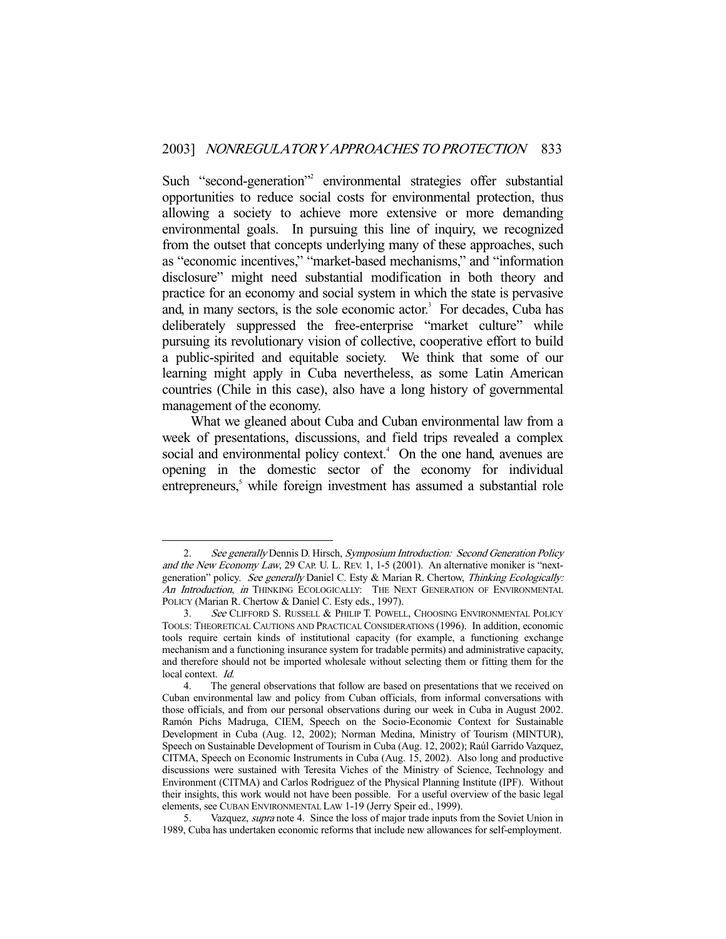Such "second-generation"<sup>2</sup> environmental strategies offer substantial opportunities to reduce social costs for environmental protection, thus allowing a society to achieve more extensive or more demanding environmental goals. In pursuing this line of inquiry, we recognized from the outset that concepts underlying many of these approaches, such as "economic incentives," "market-based mechanisms," and "information disclosure" might need substantial modification in both theory and practice for an economy and social system in which the state is pervasive and, in many sectors, is the sole economic actor.<sup>3</sup> For decades, Cuba has deliberately suppressed the free-enterprise "market culture" while pursuing its revolutionary vision of collective, cooperative effort to build a public-spirited and equitable society. We think that some of our learning might apply in Cuba nevertheless, as some Latin American countries (Chile in this case), also have a long history of governmental management of the economy.

 What we gleaned about Cuba and Cuban environmental law from a week of presentations, discussions, and field trips revealed a complex social and environmental policy context.<sup>4</sup> On the one hand, avenues are opening in the domestic sector of the economy for individual entrepreneurs,<sup>5</sup> while foreign investment has assumed a substantial role

<sup>2.</sup> See generally Dennis D. Hirsch, Symposium Introduction: Second Generation Policy and the New Economy Law, 29 CAP. U. L. REV. 1, 1-5 (2001). An alternative moniker is "nextgeneration" policy. See generally Daniel C. Esty & Marian R. Chertow, Thinking Ecologically: An Introduction, in THINKING ECOLOGICALLY: THE NEXT GENERATION OF ENVIRONMENTAL POLICY (Marian R. Chertow & Daniel C. Esty eds., 1997).

<sup>3.</sup> See CLIFFORD S. RUSSELL & PHILIP T. POWELL, CHOOSING ENVIRONMENTAL POLICY TOOLS: THEORETICAL CAUTIONS AND PRACTICAL CONSIDERATIONS (1996). In addition, economic tools require certain kinds of institutional capacity (for example, a functioning exchange mechanism and a functioning insurance system for tradable permits) and administrative capacity, and therefore should not be imported wholesale without selecting them or fitting them for the local context. Id.

 <sup>4.</sup> The general observations that follow are based on presentations that we received on Cuban environmental law and policy from Cuban officials, from informal conversations with those officials, and from our personal observations during our week in Cuba in August 2002. Ramón Pichs Madruga, CIEM, Speech on the Socio-Economic Context for Sustainable Development in Cuba (Aug. 12, 2002); Norman Medina, Ministry of Tourism (MINTUR), Speech on Sustainable Development of Tourism in Cuba (Aug. 12, 2002); Raúl Garrido Vazquez, CITMA, Speech on Economic Instruments in Cuba (Aug. 15, 2002). Also long and productive discussions were sustained with Teresita Viches of the Ministry of Science, Technology and Environment (CITMA) and Carlos Rodriguez of the Physical Planning Institute (IPF). Without their insights, this work would not have been possible. For a useful overview of the basic legal elements, see CUBAN ENVIRONMENTAL LAW 1-19 (Jerry Speir ed., 1999).

 <sup>5.</sup> Vazquez, supra note 4. Since the loss of major trade inputs from the Soviet Union in 1989, Cuba has undertaken economic reforms that include new allowances for self-employment.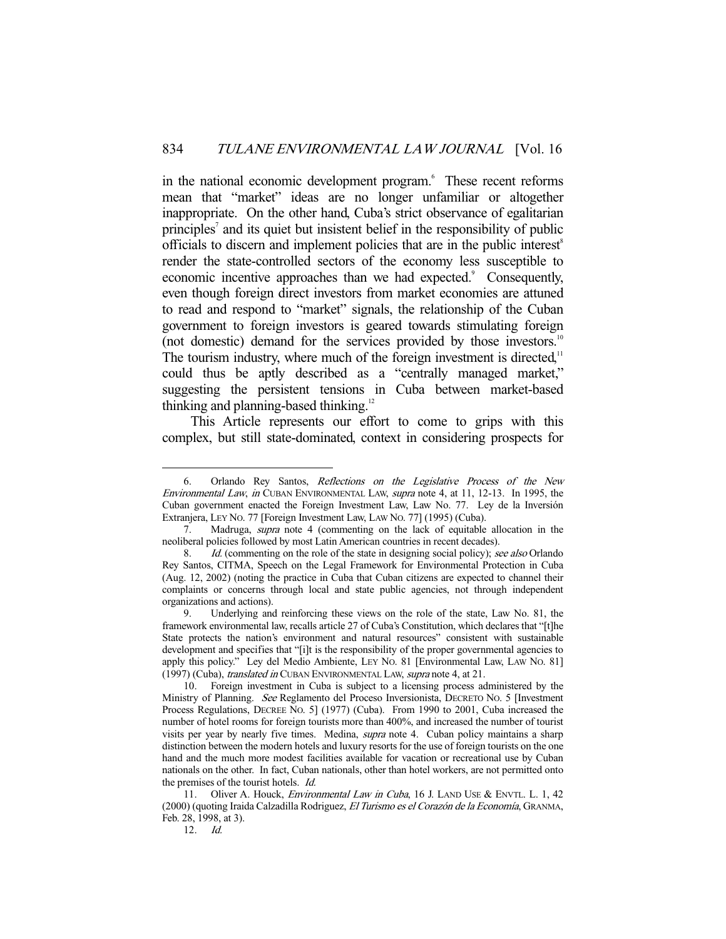in the national economic development program.<sup>6</sup> These recent reforms mean that "market" ideas are no longer unfamiliar or altogether inappropriate. On the other hand, Cuba's strict observance of egalitarian principles<sup>7</sup> and its quiet but insistent belief in the responsibility of public officials to discern and implement policies that are in the public interest<sup> $\delta$ </sup> render the state-controlled sectors of the economy less susceptible to economic incentive approaches than we had expected.<sup>9</sup> Consequently, even though foreign direct investors from market economies are attuned to read and respond to "market" signals, the relationship of the Cuban government to foreign investors is geared towards stimulating foreign (not domestic) demand for the services provided by those investors.<sup>10</sup> The tourism industry, where much of the foreign investment is directed, $11$ could thus be aptly described as a "centrally managed market," suggesting the persistent tensions in Cuba between market-based thinking and planning-based thinking.<sup>12</sup>

 This Article represents our effort to come to grips with this complex, but still state-dominated, context in considering prospects for

12. Id.

 <sup>6.</sup> Orlando Rey Santos, Reflections on the Legislative Process of the New Environmental Law, in CUBAN ENVIRONMENTAL LAW, supra note 4, at 11, 12-13. In 1995, the Cuban government enacted the Foreign Investment Law, Law No. 77. Ley de la Inversión Extranjera, LEY NO. 77 [Foreign Investment Law, LAW NO. 77] (1995) (Cuba).

 <sup>7.</sup> Madruga, supra note 4 (commenting on the lack of equitable allocation in the neoliberal policies followed by most Latin American countries in recent decades).

<sup>8.</sup> Id. (commenting on the role of the state in designing social policy); see also Orlando Rey Santos, CITMA, Speech on the Legal Framework for Environmental Protection in Cuba (Aug. 12, 2002) (noting the practice in Cuba that Cuban citizens are expected to channel their complaints or concerns through local and state public agencies, not through independent organizations and actions).

 <sup>9.</sup> Underlying and reinforcing these views on the role of the state, Law No. 81, the framework environmental law, recalls article 27 of Cuba's Constitution, which declares that "[t]he State protects the nation's environment and natural resources" consistent with sustainable development and specifies that "[i]t is the responsibility of the proper governmental agencies to apply this policy." Ley del Medio Ambiente, LEY NO. 81 [Environmental Law, LAW NO. 81] (1997) (Cuba), translated in CUBAN ENVIRONMENTAL LAW, supra note 4, at 21.

 <sup>10.</sup> Foreign investment in Cuba is subject to a licensing process administered by the Ministry of Planning. See Reglamento del Proceso Inversionista, DECRETO NO. 5 [Investment Process Regulations, DECREE NO. 5] (1977) (Cuba). From 1990 to 2001, Cuba increased the number of hotel rooms for foreign tourists more than 400%, and increased the number of tourist visits per year by nearly five times. Medina, supra note 4. Cuban policy maintains a sharp distinction between the modern hotels and luxury resorts for the use of foreign tourists on the one hand and the much more modest facilities available for vacation or recreational use by Cuban nationals on the other. In fact, Cuban nationals, other than hotel workers, are not permitted onto the premises of the tourist hotels. Id.

<sup>11.</sup> Oliver A. Houck, *Environmental Law in Cuba*, 16 J. LAND USE & ENVTL. L. 1, 42 (2000) (quoting Iraida Calzadilla Rodriguez, El Turismo es el Corazón de la Economía, GRANMA, Feb. 28, 1998, at 3).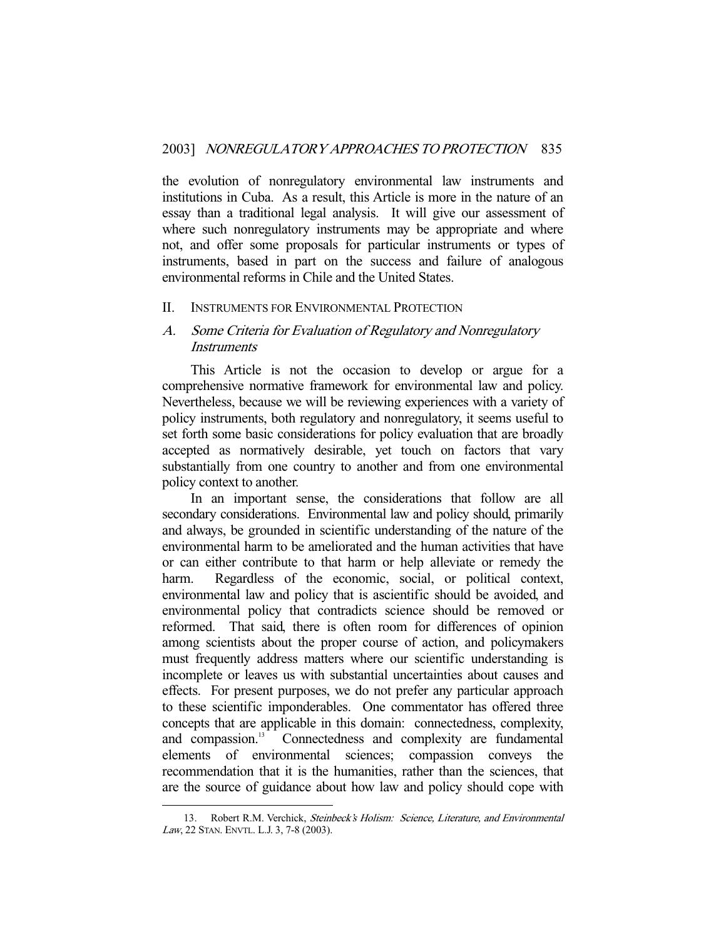the evolution of nonregulatory environmental law instruments and institutions in Cuba. As a result, this Article is more in the nature of an essay than a traditional legal analysis. It will give our assessment of where such nonregulatory instruments may be appropriate and where not, and offer some proposals for particular instruments or types of instruments, based in part on the success and failure of analogous environmental reforms in Chile and the United States.

## II. INSTRUMENTS FOR ENVIRONMENTAL PROTECTION

# A. Some Criteria for Evaluation of Regulatory and Nonregulatory **Instruments**

 This Article is not the occasion to develop or argue for a comprehensive normative framework for environmental law and policy. Nevertheless, because we will be reviewing experiences with a variety of policy instruments, both regulatory and nonregulatory, it seems useful to set forth some basic considerations for policy evaluation that are broadly accepted as normatively desirable, yet touch on factors that vary substantially from one country to another and from one environmental policy context to another.

 In an important sense, the considerations that follow are all secondary considerations. Environmental law and policy should, primarily and always, be grounded in scientific understanding of the nature of the environmental harm to be ameliorated and the human activities that have or can either contribute to that harm or help alleviate or remedy the harm. Regardless of the economic, social, or political context, environmental law and policy that is ascientific should be avoided, and environmental policy that contradicts science should be removed or reformed. That said, there is often room for differences of opinion among scientists about the proper course of action, and policymakers must frequently address matters where our scientific understanding is incomplete or leaves us with substantial uncertainties about causes and effects. For present purposes, we do not prefer any particular approach to these scientific imponderables. One commentator has offered three concepts that are applicable in this domain: connectedness, complexity, and compassion.<sup>13</sup> Connectedness and complexity are fundamental elements of environmental sciences; compassion conveys the recommendation that it is the humanities, rather than the sciences, that are the source of guidance about how law and policy should cope with

<sup>13.</sup> Robert R.M. Verchick, Steinbeck's Holism: Science, Literature, and Environmental Law, 22 STAN. ENVTL. L.J. 3, 7-8 (2003).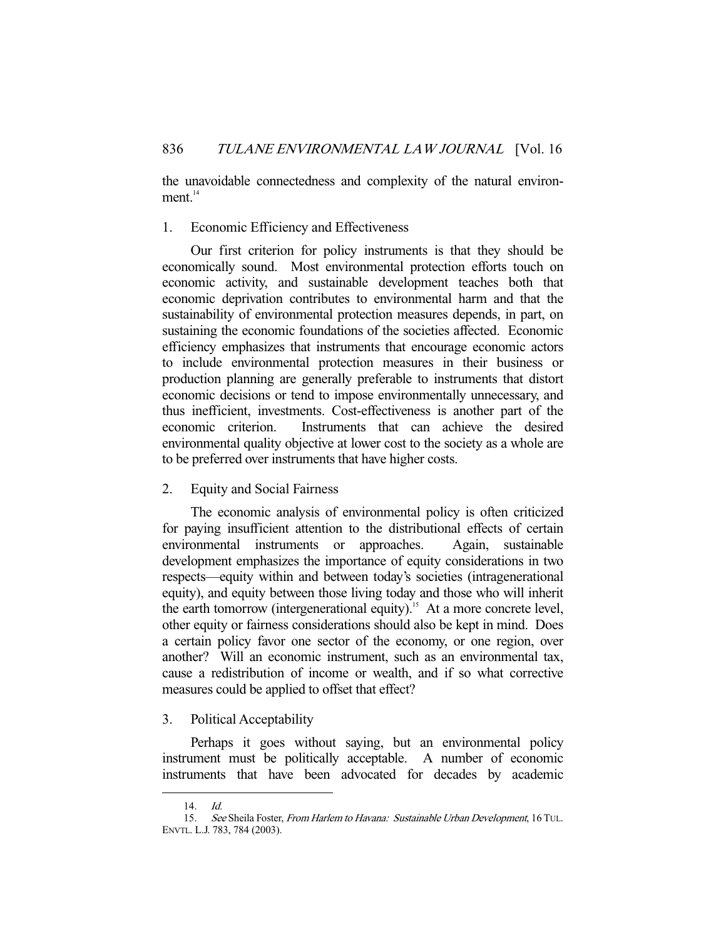the unavoidable connectedness and complexity of the natural environ $ment.<sup>14</sup>$ 

# 1. Economic Efficiency and Effectiveness

 Our first criterion for policy instruments is that they should be economically sound. Most environmental protection efforts touch on economic activity, and sustainable development teaches both that economic deprivation contributes to environmental harm and that the sustainability of environmental protection measures depends, in part, on sustaining the economic foundations of the societies affected. Economic efficiency emphasizes that instruments that encourage economic actors to include environmental protection measures in their business or production planning are generally preferable to instruments that distort economic decisions or tend to impose environmentally unnecessary, and thus inefficient, investments. Cost-effectiveness is another part of the economic criterion. Instruments that can achieve the desired environmental quality objective at lower cost to the society as a whole are to be preferred over instruments that have higher costs.

# 2. Equity and Social Fairness

 The economic analysis of environmental policy is often criticized for paying insufficient attention to the distributional effects of certain environmental instruments or approaches. Again, sustainable development emphasizes the importance of equity considerations in two respects—equity within and between today's societies (intragenerational equity), and equity between those living today and those who will inherit the earth tomorrow (intergenerational equity).<sup>15</sup> At a more concrete level, other equity or fairness considerations should also be kept in mind. Does a certain policy favor one sector of the economy, or one region, over another? Will an economic instrument, such as an environmental tax, cause a redistribution of income or wealth, and if so what corrective measures could be applied to offset that effect?

#### 3. Political Acceptability

 Perhaps it goes without saying, but an environmental policy instrument must be politically acceptable. A number of economic instruments that have been advocated for decades by academic

 <sup>14.</sup> Id.

 <sup>15.</sup> See Sheila Foster, From Harlem to Havana: Sustainable Urban Development, 16 TUL. ENVTL. L.J. 783, 784 (2003).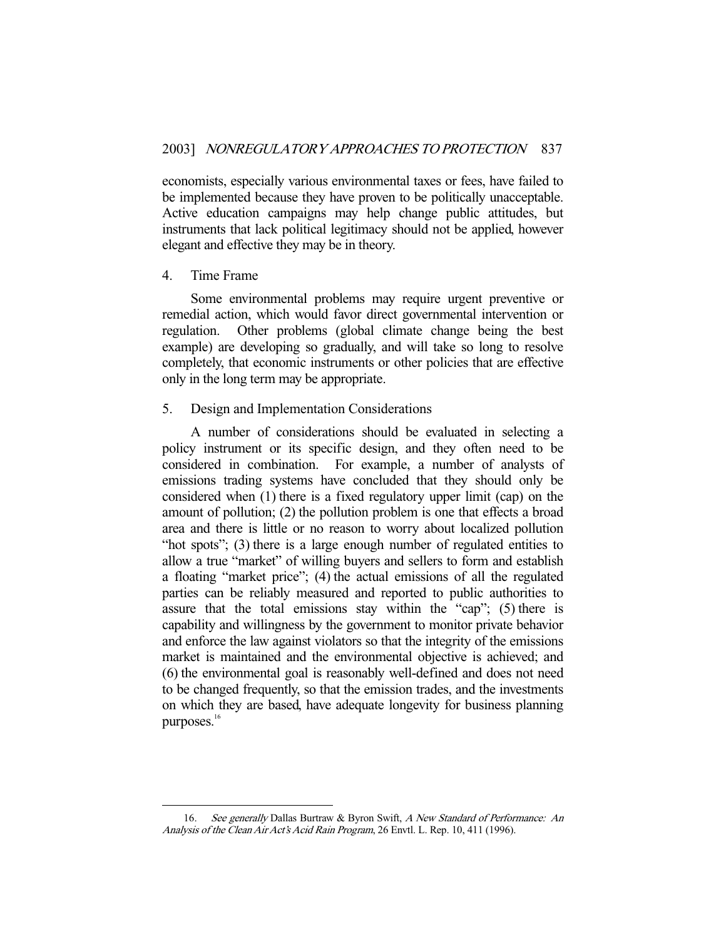economists, especially various environmental taxes or fees, have failed to be implemented because they have proven to be politically unacceptable. Active education campaigns may help change public attitudes, but instruments that lack political legitimacy should not be applied, however elegant and effective they may be in theory.

#### 4. Time Frame

-

 Some environmental problems may require urgent preventive or remedial action, which would favor direct governmental intervention or regulation. Other problems (global climate change being the best example) are developing so gradually, and will take so long to resolve completely, that economic instruments or other policies that are effective only in the long term may be appropriate.

#### 5. Design and Implementation Considerations

 A number of considerations should be evaluated in selecting a policy instrument or its specific design, and they often need to be considered in combination. For example, a number of analysts of emissions trading systems have concluded that they should only be considered when (1) there is a fixed regulatory upper limit (cap) on the amount of pollution; (2) the pollution problem is one that effects a broad area and there is little or no reason to worry about localized pollution "hot spots"; (3) there is a large enough number of regulated entities to allow a true "market" of willing buyers and sellers to form and establish a floating "market price"; (4) the actual emissions of all the regulated parties can be reliably measured and reported to public authorities to assure that the total emissions stay within the "cap"; (5) there is capability and willingness by the government to monitor private behavior and enforce the law against violators so that the integrity of the emissions market is maintained and the environmental objective is achieved; and (6) the environmental goal is reasonably well-defined and does not need to be changed frequently, so that the emission trades, and the investments on which they are based, have adequate longevity for business planning purposes.<sup>16</sup>

<sup>16.</sup> See generally Dallas Burtraw & Byron Swift, A New Standard of Performance: An Analysis of the Clean Air Act's Acid Rain Program, 26 Envtl. L. Rep. 10, 411 (1996).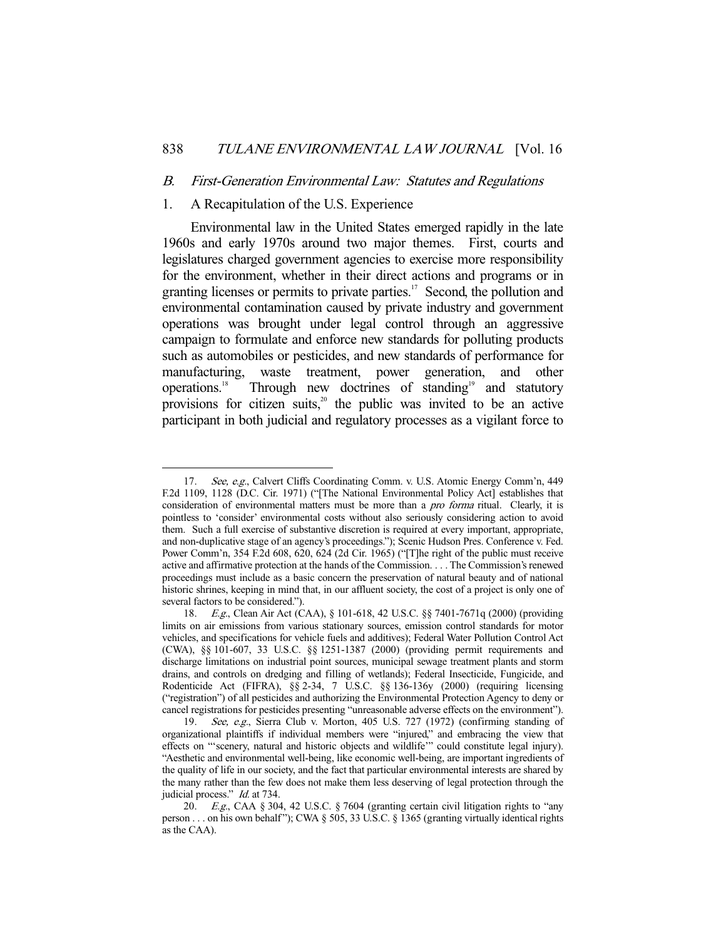#### B. First-Generation Environmental Law: Statutes and Regulations

# 1. A Recapitulation of the U.S. Experience

 Environmental law in the United States emerged rapidly in the late 1960s and early 1970s around two major themes. First, courts and legislatures charged government agencies to exercise more responsibility for the environment, whether in their direct actions and programs or in granting licenses or permits to private parties.<sup>17</sup> Second, the pollution and environmental contamination caused by private industry and government operations was brought under legal control through an aggressive campaign to formulate and enforce new standards for polluting products such as automobiles or pesticides, and new standards of performance for manufacturing, waste treatment, power generation, and other operations.<sup>18</sup> Through new doctrines of standing<sup>19</sup> and statutory Through new doctrines of standing<sup>19</sup> and statutory provisions for citizen suits, $2^{\circ}$  the public was invited to be an active participant in both judicial and regulatory processes as a vigilant force to

<sup>-</sup>17. See, e.g., Calvert Cliffs Coordinating Comm. v. U.S. Atomic Energy Comm'n, 449 F.2d 1109, 1128 (D.C. Cir. 1971) ("[The National Environmental Policy Act] establishes that consideration of environmental matters must be more than a *pro forma* ritual. Clearly, it is pointless to 'consider' environmental costs without also seriously considering action to avoid them. Such a full exercise of substantive discretion is required at every important, appropriate, and non-duplicative stage of an agency's proceedings."); Scenic Hudson Pres. Conference v. Fed. Power Comm'n, 354 F.2d 608, 620, 624 (2d Cir. 1965) ("[T]he right of the public must receive active and affirmative protection at the hands of the Commission. . . . The Commission's renewed proceedings must include as a basic concern the preservation of natural beauty and of national historic shrines, keeping in mind that, in our affluent society, the cost of a project is only one of several factors to be considered.").

 <sup>18.</sup> E.g., Clean Air Act (CAA), § 101-618, 42 U.S.C. §§ 7401-7671q (2000) (providing limits on air emissions from various stationary sources, emission control standards for motor vehicles, and specifications for vehicle fuels and additives); Federal Water Pollution Control Act (CWA), §§ 101-607, 33 U.S.C. §§ 1251-1387 (2000) (providing permit requirements and discharge limitations on industrial point sources, municipal sewage treatment plants and storm drains, and controls on dredging and filling of wetlands); Federal Insecticide, Fungicide, and Rodenticide Act (FIFRA), §§ 2-34, 7 U.S.C. §§ 136-136y (2000) (requiring licensing ("registration") of all pesticides and authorizing the Environmental Protection Agency to deny or cancel registrations for pesticides presenting "unreasonable adverse effects on the environment").

 <sup>19.</sup> See, e.g., Sierra Club v. Morton, 405 U.S. 727 (1972) (confirming standing of organizational plaintiffs if individual members were "injured," and embracing the view that effects on "'scenery, natural and historic objects and wildlife'" could constitute legal injury). "Aesthetic and environmental well-being, like economic well-being, are important ingredients of the quality of life in our society, and the fact that particular environmental interests are shared by the many rather than the few does not make them less deserving of legal protection through the judicial process." *Id.* at 734.

<sup>20.</sup>  $E.g.,$  CAA § 304, 42 U.S.C. § 7604 (granting certain civil litigation rights to "any person . . . on his own behalf "); CWA § 505, 33 U.S.C. § 1365 (granting virtually identical rights as the CAA).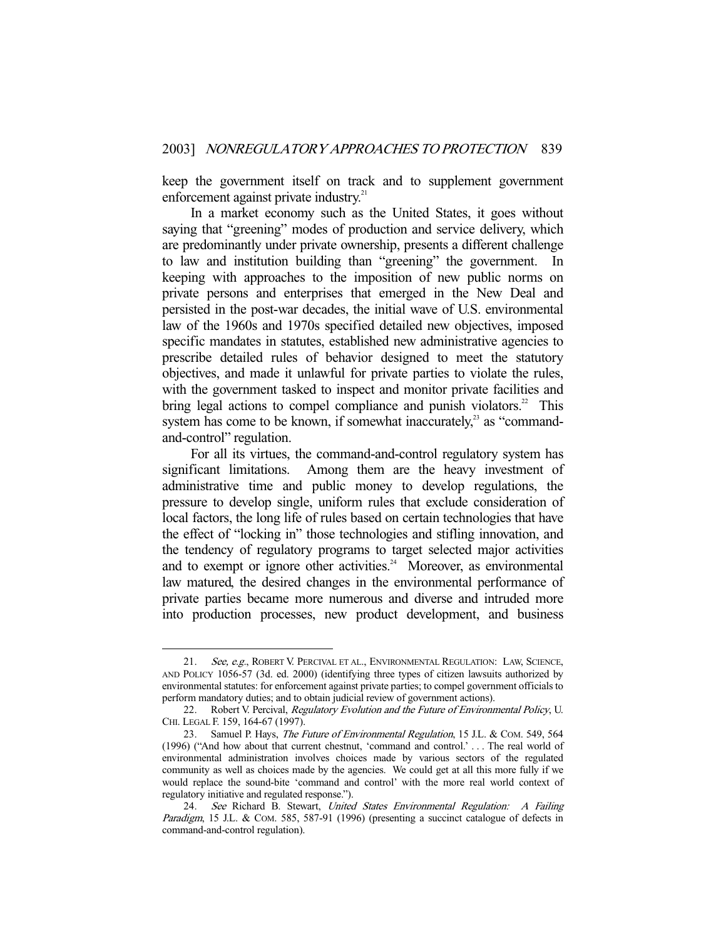keep the government itself on track and to supplement government enforcement against private industry.<sup>21</sup>

 In a market economy such as the United States, it goes without saying that "greening" modes of production and service delivery, which are predominantly under private ownership, presents a different challenge to law and institution building than "greening" the government. In keeping with approaches to the imposition of new public norms on private persons and enterprises that emerged in the New Deal and persisted in the post-war decades, the initial wave of U.S. environmental law of the 1960s and 1970s specified detailed new objectives, imposed specific mandates in statutes, established new administrative agencies to prescribe detailed rules of behavior designed to meet the statutory objectives, and made it unlawful for private parties to violate the rules, with the government tasked to inspect and monitor private facilities and bring legal actions to compel compliance and punish violators.<sup>22</sup> This system has come to be known, if somewhat inaccurately, $^{23}$  as "commandand-control" regulation.

 For all its virtues, the command-and-control regulatory system has significant limitations. Among them are the heavy investment of administrative time and public money to develop regulations, the pressure to develop single, uniform rules that exclude consideration of local factors, the long life of rules based on certain technologies that have the effect of "locking in" those technologies and stifling innovation, and the tendency of regulatory programs to target selected major activities and to exempt or ignore other activities.<sup>24</sup> Moreover, as environmental law matured, the desired changes in the environmental performance of private parties became more numerous and diverse and intruded more into production processes, new product development, and business

<sup>21.</sup> See, e.g., ROBERT V. PERCIVAL ET AL., ENVIRONMENTAL REGULATION: LAW, SCIENCE, AND POLICY 1056-57 (3d. ed. 2000) (identifying three types of citizen lawsuits authorized by environmental statutes: for enforcement against private parties; to compel government officials to perform mandatory duties; and to obtain judicial review of government actions).

<sup>22.</sup> Robert V. Percival, Regulatory Evolution and the Future of Environmental Policy, U. CHI. LEGAL F. 159, 164-67 (1997).

<sup>23.</sup> Samuel P. Hays, The Future of Environmental Regulation, 15 J.L. & COM. 549, 564 (1996) ("And how about that current chestnut, 'command and control.' . . . The real world of environmental administration involves choices made by various sectors of the regulated community as well as choices made by the agencies. We could get at all this more fully if we would replace the sound-bite 'command and control' with the more real world context of regulatory initiative and regulated response.").

 <sup>24.</sup> See Richard B. Stewart, United States Environmental Regulation: A Failing Paradigm, 15 J.L. & COM. 585, 587-91 (1996) (presenting a succinct catalogue of defects in command-and-control regulation).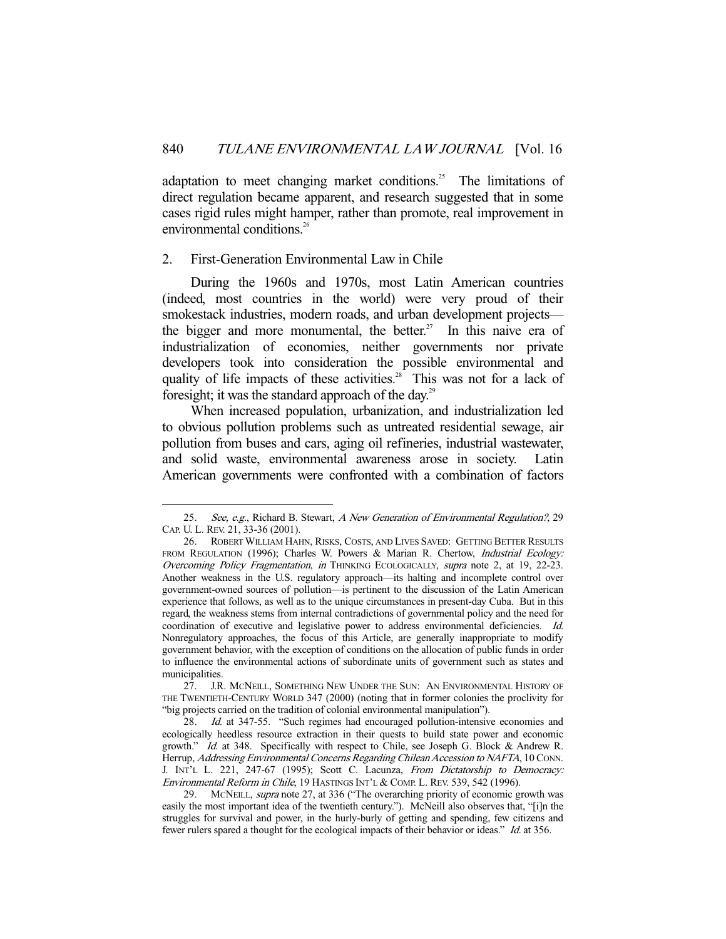adaptation to meet changing market conditions.<sup>25</sup> The limitations of direct regulation became apparent, and research suggested that in some cases rigid rules might hamper, rather than promote, real improvement in environmental conditions.<sup>26</sup>

#### 2. First-Generation Environmental Law in Chile

-

 During the 1960s and 1970s, most Latin American countries (indeed, most countries in the world) were very proud of their smokestack industries, modern roads, and urban development projects the bigger and more monumental, the better.<sup>27</sup> In this naive era of industrialization of economies, neither governments nor private developers took into consideration the possible environmental and quality of life impacts of these activities.<sup>28</sup> This was not for a lack of foresight; it was the standard approach of the day.<sup>29</sup>

 When increased population, urbanization, and industrialization led to obvious pollution problems such as untreated residential sewage, air pollution from buses and cars, aging oil refineries, industrial wastewater, and solid waste, environmental awareness arose in society. Latin American governments were confronted with a combination of factors

 <sup>25.</sup> See, e.g., Richard B. Stewart, A New Generation of Environmental Regulation?, 29 CAP. U. L. REV. 21, 33-36 (2001).

 <sup>26.</sup> ROBERT WILLIAM HAHN, RISKS, COSTS, AND LIVES SAVED: GETTING BETTER RESULTS FROM REGULATION (1996); Charles W. Powers & Marian R. Chertow, *Industrial Ecology:* Overcoming Policy Fragmentation, in THINKING ECOLOGICALLY, supra note 2, at 19, 22-23. Another weakness in the U.S. regulatory approach—its halting and incomplete control over government-owned sources of pollution—is pertinent to the discussion of the Latin American experience that follows, as well as to the unique circumstances in present-day Cuba. But in this regard, the weakness stems from internal contradictions of governmental policy and the need for coordination of executive and legislative power to address environmental deficiencies. Id. Nonregulatory approaches, the focus of this Article, are generally inappropriate to modify government behavior, with the exception of conditions on the allocation of public funds in order to influence the environmental actions of subordinate units of government such as states and municipalities.

 <sup>27.</sup> J.R. MCNEILL, SOMETHING NEW UNDER THE SUN: AN ENVIRONMENTAL HISTORY OF THE TWENTIETH-CENTURY WORLD 347 (2000) (noting that in former colonies the proclivity for "big projects carried on the tradition of colonial environmental manipulation").

<sup>28.</sup> Id. at 347-55. "Such regimes had encouraged pollution-intensive economies and ecologically heedless resource extraction in their quests to build state power and economic growth." Id. at 348. Specifically with respect to Chile, see Joseph G. Block & Andrew R. Herrup, Addressing Environmental Concerns Regarding Chilean Accession to NAFTA, 10 CONN. J. INT'L L. 221, 247-67 (1995); Scott C. Lacunza, From Dictatorship to Democracy: Environmental Reform in Chile, 19 HASTINGS INT'L & COMP. L. REV. 539, 542 (1996).

<sup>29.</sup> MCNEILL, *supra* note 27, at 336 ("The overarching priority of economic growth was easily the most important idea of the twentieth century."). McNeill also observes that, "[i]n the struggles for survival and power, in the hurly-burly of getting and spending, few citizens and fewer rulers spared a thought for the ecological impacts of their behavior or ideas." Id. at 356.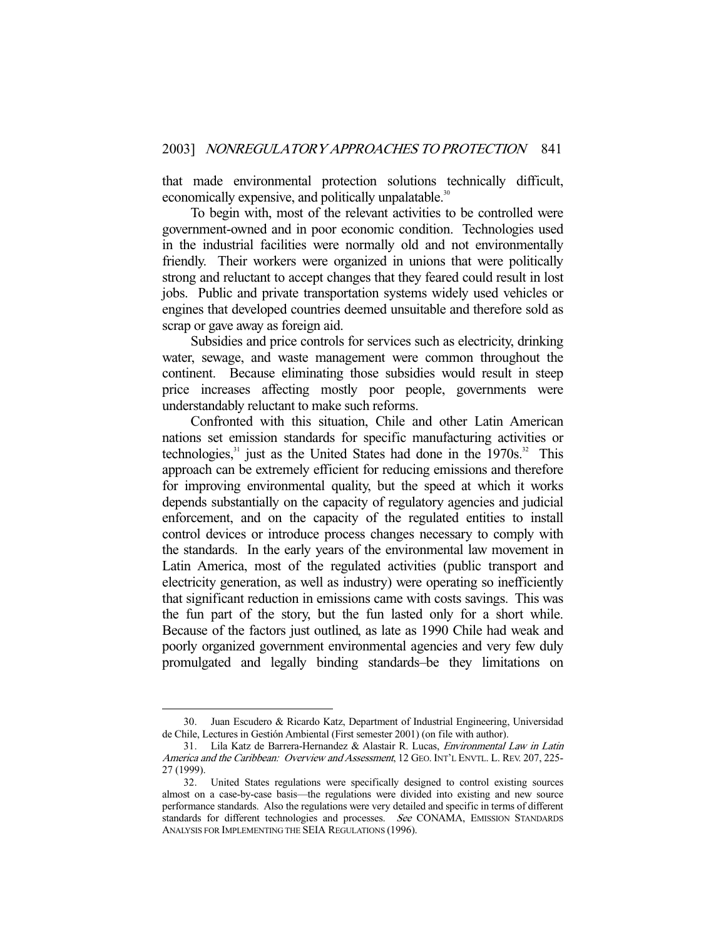that made environmental protection solutions technically difficult, economically expensive, and politically unpalatable.<sup>30</sup>

 To begin with, most of the relevant activities to be controlled were government-owned and in poor economic condition. Technologies used in the industrial facilities were normally old and not environmentally friendly. Their workers were organized in unions that were politically strong and reluctant to accept changes that they feared could result in lost jobs. Public and private transportation systems widely used vehicles or engines that developed countries deemed unsuitable and therefore sold as scrap or gave away as foreign aid.

 Subsidies and price controls for services such as electricity, drinking water, sewage, and waste management were common throughout the continent. Because eliminating those subsidies would result in steep price increases affecting mostly poor people, governments were understandably reluctant to make such reforms.

 Confronted with this situation, Chile and other Latin American nations set emission standards for specific manufacturing activities or technologies,<sup>31</sup> just as the United States had done in the 1970s.<sup>32</sup> This approach can be extremely efficient for reducing emissions and therefore for improving environmental quality, but the speed at which it works depends substantially on the capacity of regulatory agencies and judicial enforcement, and on the capacity of the regulated entities to install control devices or introduce process changes necessary to comply with the standards. In the early years of the environmental law movement in Latin America, most of the regulated activities (public transport and electricity generation, as well as industry) were operating so inefficiently that significant reduction in emissions came with costs savings. This was the fun part of the story, but the fun lasted only for a short while. Because of the factors just outlined, as late as 1990 Chile had weak and poorly organized government environmental agencies and very few duly promulgated and legally binding standards–be they limitations on

 <sup>30.</sup> Juan Escudero & Ricardo Katz, Department of Industrial Engineering, Universidad de Chile, Lectures in Gestión Ambiental (First semester 2001) (on file with author).

 <sup>31.</sup> Lila Katz de Barrera-Hernandez & Alastair R. Lucas, Environmental Law in Latin America and the Caribbean: Overview and Assessment, 12 GEO. INT'L ENVTL. L. REV. 207, 225-27 (1999).

 <sup>32.</sup> United States regulations were specifically designed to control existing sources almost on a case-by-case basis—the regulations were divided into existing and new source performance standards. Also the regulations were very detailed and specific in terms of different standards for different technologies and processes. See CONAMA, EMISSION STANDARDS ANALYSIS FOR IMPLEMENTING THE SEIA REGULATIONS (1996).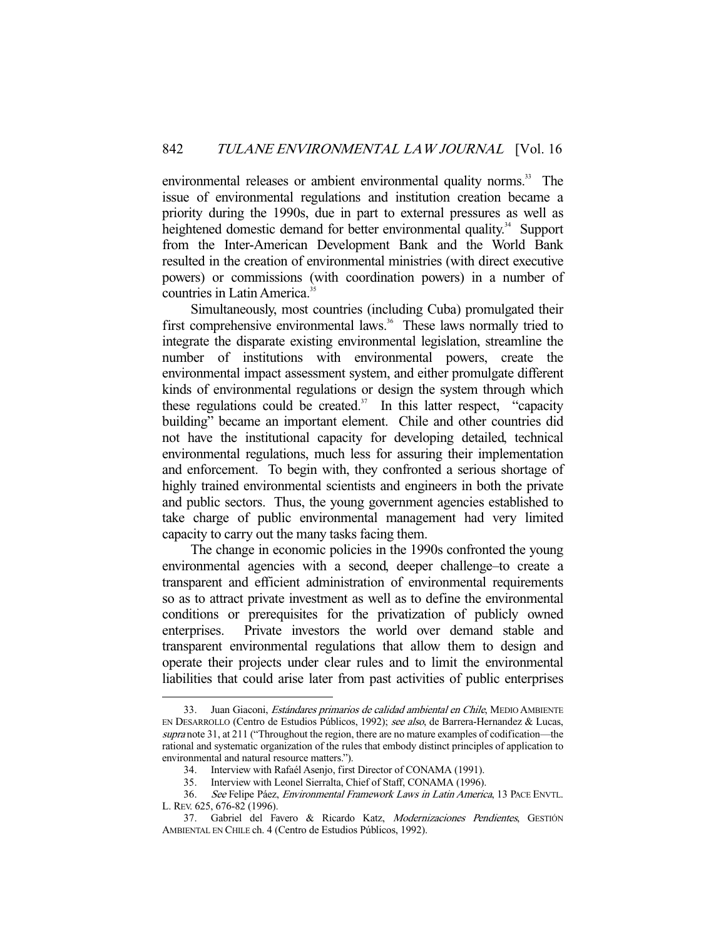environmental releases or ambient environmental quality norms.<sup>33</sup> The issue of environmental regulations and institution creation became a priority during the 1990s, due in part to external pressures as well as heightened domestic demand for better environmental quality.<sup>34</sup> Support from the Inter-American Development Bank and the World Bank resulted in the creation of environmental ministries (with direct executive powers) or commissions (with coordination powers) in a number of countries in Latin America.<sup>35</sup>

 Simultaneously, most countries (including Cuba) promulgated their first comprehensive environmental laws.<sup>36</sup> These laws normally tried to integrate the disparate existing environmental legislation, streamline the number of institutions with environmental powers, create the environmental impact assessment system, and either promulgate different kinds of environmental regulations or design the system through which these regulations could be created.<sup>37</sup> In this latter respect, "capacity" building" became an important element. Chile and other countries did not have the institutional capacity for developing detailed, technical environmental regulations, much less for assuring their implementation and enforcement. To begin with, they confronted a serious shortage of highly trained environmental scientists and engineers in both the private and public sectors. Thus, the young government agencies established to take charge of public environmental management had very limited capacity to carry out the many tasks facing them.

 The change in economic policies in the 1990s confronted the young environmental agencies with a second, deeper challenge–to create a transparent and efficient administration of environmental requirements so as to attract private investment as well as to define the environmental conditions or prerequisites for the privatization of publicly owned enterprises. Private investors the world over demand stable and transparent environmental regulations that allow them to design and operate their projects under clear rules and to limit the environmental liabilities that could arise later from past activities of public enterprises

<sup>33.</sup> Juan Giaconi, *Estándares primarios de calidad ambiental en Chile*, MEDIO AMBIENTE EN DESARROLLO (Centro de Estudios Públicos, 1992); see also, de Barrera-Hernandez & Lucas, supra note 31, at 211 ("Throughout the region, there are no mature examples of codification—the rational and systematic organization of the rules that embody distinct principles of application to environmental and natural resource matters.").

 <sup>34.</sup> Interview with Rafaél Asenjo, first Director of CONAMA (1991).

 <sup>35.</sup> Interview with Leonel Sierralta, Chief of Staff, CONAMA (1996).

 <sup>36.</sup> See Felipe Páez, Environmental Framework Laws in Latin America, 13 PACE ENVTL. L. REV. 625, 676-82 (1996).

<sup>37.</sup> Gabriel del Favero & Ricardo Katz, Modernizaciones Pendientes, GESTIÓN AMBIENTAL EN CHILE ch. 4 (Centro de Estudios Públicos, 1992).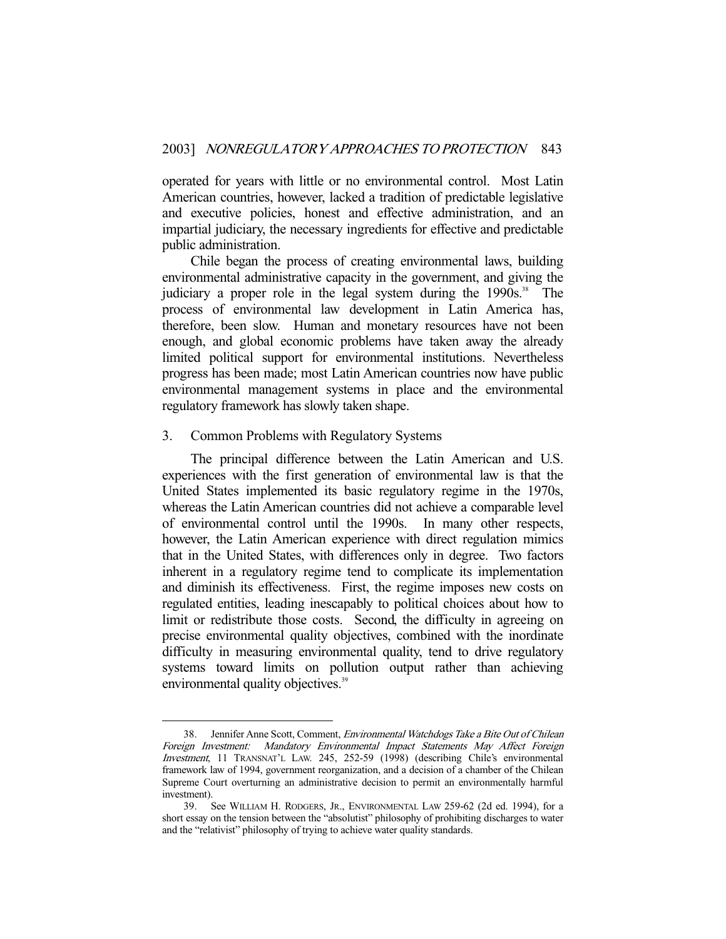operated for years with little or no environmental control. Most Latin American countries, however, lacked a tradition of predictable legislative and executive policies, honest and effective administration, and an impartial judiciary, the necessary ingredients for effective and predictable public administration.

 Chile began the process of creating environmental laws, building environmental administrative capacity in the government, and giving the judiciary a proper role in the legal system during the  $1990s$ .<sup>38</sup> The process of environmental law development in Latin America has, therefore, been slow. Human and monetary resources have not been enough, and global economic problems have taken away the already limited political support for environmental institutions. Nevertheless progress has been made; most Latin American countries now have public environmental management systems in place and the environmental regulatory framework has slowly taken shape.

#### 3. Common Problems with Regulatory Systems

-

 The principal difference between the Latin American and U.S. experiences with the first generation of environmental law is that the United States implemented its basic regulatory regime in the 1970s, whereas the Latin American countries did not achieve a comparable level of environmental control until the 1990s. In many other respects, however, the Latin American experience with direct regulation mimics that in the United States, with differences only in degree. Two factors inherent in a regulatory regime tend to complicate its implementation and diminish its effectiveness. First, the regime imposes new costs on regulated entities, leading inescapably to political choices about how to limit or redistribute those costs. Second, the difficulty in agreeing on precise environmental quality objectives, combined with the inordinate difficulty in measuring environmental quality, tend to drive regulatory systems toward limits on pollution output rather than achieving environmental quality objectives.<sup>39</sup>

 <sup>38.</sup> Jennifer Anne Scott, Comment, Environmental Watchdogs Take a Bite Out of Chilean Foreign Investment: Mandatory Environmental Impact Statements May Affect Foreign Investment, 11 TRANSNAT'L LAW. 245, 252-59 (1998) (describing Chile's environmental framework law of 1994, government reorganization, and a decision of a chamber of the Chilean Supreme Court overturning an administrative decision to permit an environmentally harmful investment).

 <sup>39.</sup> See WILLIAM H. RODGERS, JR., ENVIRONMENTAL LAW 259-62 (2d ed. 1994), for a short essay on the tension between the "absolutist" philosophy of prohibiting discharges to water and the "relativist" philosophy of trying to achieve water quality standards.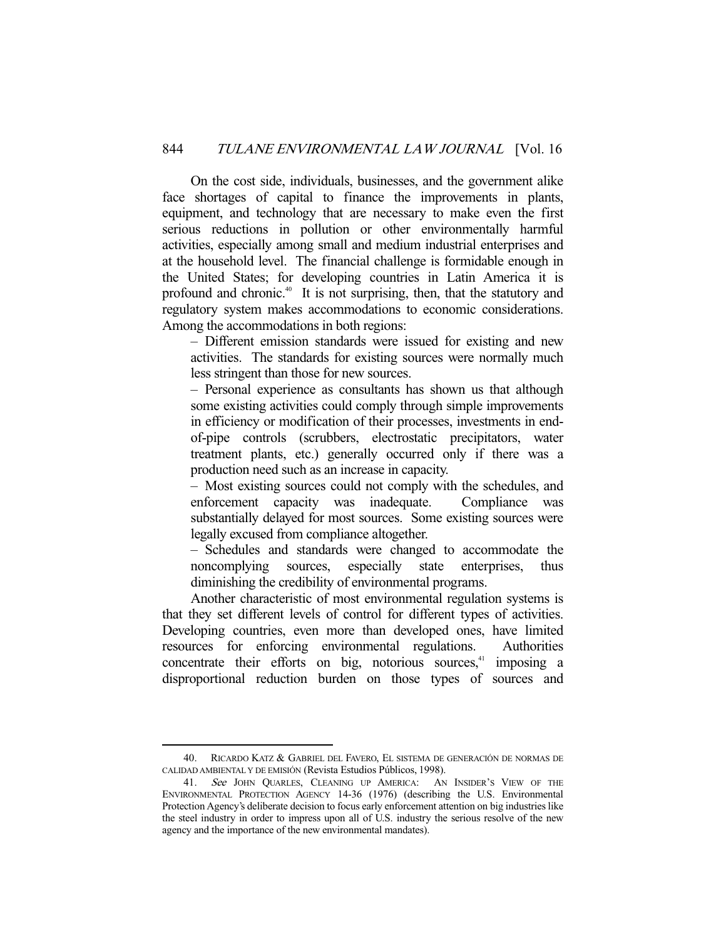On the cost side, individuals, businesses, and the government alike face shortages of capital to finance the improvements in plants, equipment, and technology that are necessary to make even the first serious reductions in pollution or other environmentally harmful activities, especially among small and medium industrial enterprises and at the household level. The financial challenge is formidable enough in the United States; for developing countries in Latin America it is profound and chronic.<sup>40</sup> It is not surprising, then, that the statutory and regulatory system makes accommodations to economic considerations. Among the accommodations in both regions:

– Different emission standards were issued for existing and new activities. The standards for existing sources were normally much less stringent than those for new sources.

– Personal experience as consultants has shown us that although some existing activities could comply through simple improvements in efficiency or modification of their processes, investments in endof-pipe controls (scrubbers, electrostatic precipitators, water treatment plants, etc.) generally occurred only if there was a production need such as an increase in capacity.

– Most existing sources could not comply with the schedules, and enforcement capacity was inadequate. Compliance was substantially delayed for most sources. Some existing sources were legally excused from compliance altogether.

– Schedules and standards were changed to accommodate the noncomplying sources, especially state enterprises, thus diminishing the credibility of environmental programs.

 Another characteristic of most environmental regulation systems is that they set different levels of control for different types of activities. Developing countries, even more than developed ones, have limited resources for enforcing environmental regulations. Authorities concentrate their efforts on big, notorious sources, $4$  imposing a disproportional reduction burden on those types of sources and

 <sup>40.</sup> RICARDO KATZ & GABRIEL DEL FAVERO, EL SISTEMA DE GENERACIÓN DE NORMAS DE CALIDAD AMBIENTAL Y DE EMISIÓN (Revista Estudios Públicos, 1998).

<sup>41.</sup> See JOHN QUARLES, CLEANING UP AMERICA: AN INSIDER'S VIEW OF THE ENVIRONMENTAL PROTECTION AGENCY 14-36 (1976) (describing the U.S. Environmental Protection Agency's deliberate decision to focus early enforcement attention on big industries like the steel industry in order to impress upon all of U.S. industry the serious resolve of the new agency and the importance of the new environmental mandates).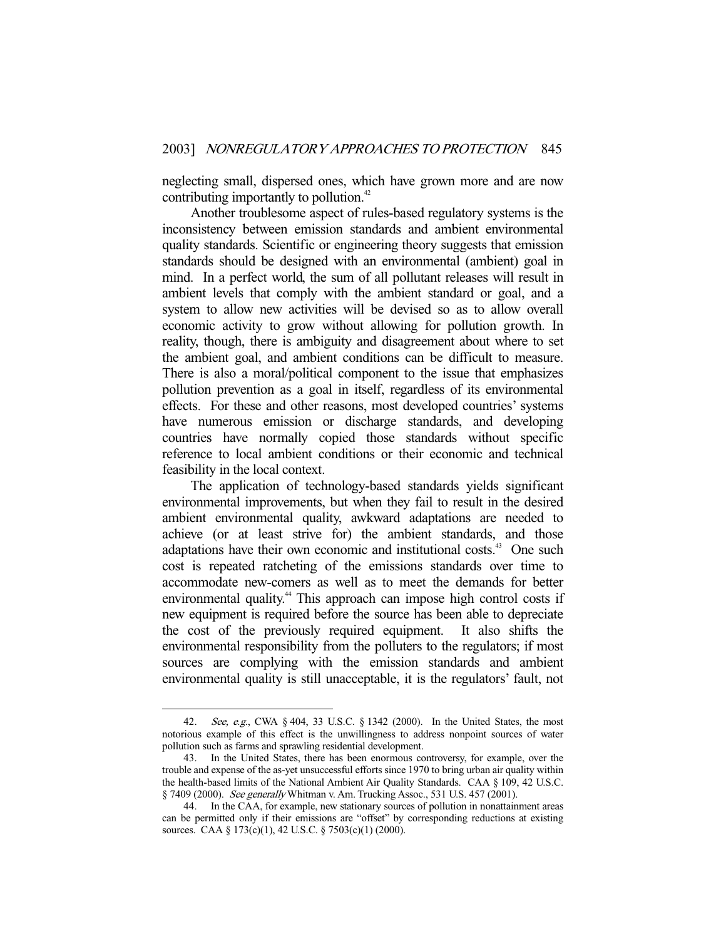neglecting small, dispersed ones, which have grown more and are now contributing importantly to pollution.<sup>42</sup>

 Another troublesome aspect of rules-based regulatory systems is the inconsistency between emission standards and ambient environmental quality standards. Scientific or engineering theory suggests that emission standards should be designed with an environmental (ambient) goal in mind. In a perfect world, the sum of all pollutant releases will result in ambient levels that comply with the ambient standard or goal, and a system to allow new activities will be devised so as to allow overall economic activity to grow without allowing for pollution growth. In reality, though, there is ambiguity and disagreement about where to set the ambient goal, and ambient conditions can be difficult to measure. There is also a moral/political component to the issue that emphasizes pollution prevention as a goal in itself, regardless of its environmental effects. For these and other reasons, most developed countries' systems have numerous emission or discharge standards, and developing countries have normally copied those standards without specific reference to local ambient conditions or their economic and technical feasibility in the local context.

 The application of technology-based standards yields significant environmental improvements, but when they fail to result in the desired ambient environmental quality, awkward adaptations are needed to achieve (or at least strive for) the ambient standards, and those adaptations have their own economic and institutional costs.<sup>43</sup> One such cost is repeated ratcheting of the emissions standards over time to accommodate new-comers as well as to meet the demands for better environmental quality.<sup>44</sup> This approach can impose high control costs if new equipment is required before the source has been able to depreciate the cost of the previously required equipment. It also shifts the environmental responsibility from the polluters to the regulators; if most sources are complying with the emission standards and ambient environmental quality is still unacceptable, it is the regulators' fault, not

 <sup>42.</sup> See, e.g., CWA § 404, 33 U.S.C. § 1342 (2000). In the United States, the most notorious example of this effect is the unwillingness to address nonpoint sources of water pollution such as farms and sprawling residential development.

 <sup>43.</sup> In the United States, there has been enormous controversy, for example, over the trouble and expense of the as-yet unsuccessful efforts since 1970 to bring urban air quality within the health-based limits of the National Ambient Air Quality Standards. CAA § 109, 42 U.S.C. § 7409 (2000). See generally Whitman v. Am. Trucking Assoc., 531 U.S. 457 (2001).

 <sup>44.</sup> In the CAA, for example, new stationary sources of pollution in nonattainment areas can be permitted only if their emissions are "offset" by corresponding reductions at existing sources. CAA § 173(c)(1), 42 U.S.C. § 7503(c)(1) (2000).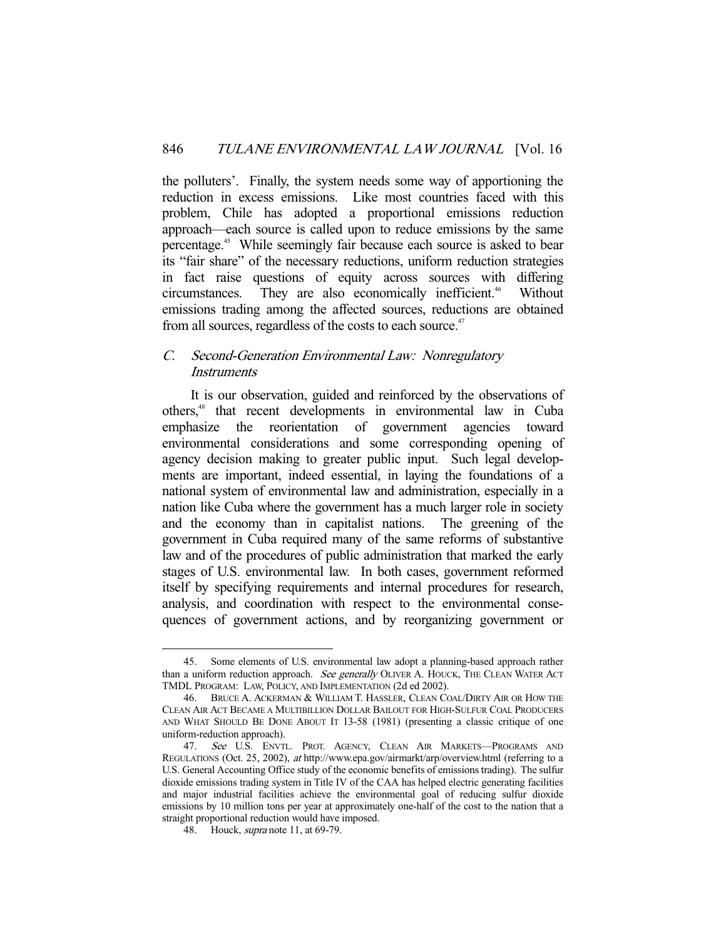the polluters'. Finally, the system needs some way of apportioning the reduction in excess emissions. Like most countries faced with this problem, Chile has adopted a proportional emissions reduction approach—each source is called upon to reduce emissions by the same percentage.45 While seemingly fair because each source is asked to bear its "fair share" of the necessary reductions, uniform reduction strategies in fact raise questions of equity across sources with differing circumstances. They are also economically inefficient.<sup>46</sup> Without emissions trading among the affected sources, reductions are obtained from all sources, regardless of the costs to each source.<sup>47</sup>

# C. Second-Generation Environmental Law: Nonregulatory **Instruments**

 It is our observation, guided and reinforced by the observations of others,48 that recent developments in environmental law in Cuba emphasize the reorientation of government agencies toward environmental considerations and some corresponding opening of agency decision making to greater public input. Such legal developments are important, indeed essential, in laying the foundations of a national system of environmental law and administration, especially in a nation like Cuba where the government has a much larger role in society and the economy than in capitalist nations. The greening of the government in Cuba required many of the same reforms of substantive law and of the procedures of public administration that marked the early stages of U.S. environmental law. In both cases, government reformed itself by specifying requirements and internal procedures for research, analysis, and coordination with respect to the environmental consequences of government actions, and by reorganizing government or

 <sup>45.</sup> Some elements of U.S. environmental law adopt a planning-based approach rather than a uniform reduction approach. See generally OLIVER A. HOUCK, THE CLEAN WATER ACT TMDL PROGRAM: LAW, POLICY, AND IMPLEMENTATION (2d ed 2002).

 <sup>46.</sup> BRUCE A. ACKERMAN & WILLIAM T. HASSLER, CLEAN COAL/DIRTY AIR OR HOW THE CLEAN AIR ACT BECAME A MULTIBILLION DOLLAR BAILOUT FOR HIGH-SULFUR COAL PRODUCERS AND WHAT SHOULD BE DONE ABOUT IT 13-58 (1981) (presenting a classic critique of one uniform-reduction approach).

<sup>47.</sup> See U.S. ENVTL. PROT. AGENCY, CLEAN AIR MARKETS-PROGRAMS AND REGULATIONS (Oct. 25, 2002), at http://www.epa.gov/airmarkt/arp/overview.html (referring to a U.S. General Accounting Office study of the economic benefits of emissions trading). The sulfur dioxide emissions trading system in Title IV of the CAA has helped electric generating facilities and major industrial facilities achieve the environmental goal of reducing sulfur dioxide emissions by 10 million tons per year at approximately one-half of the cost to the nation that a straight proportional reduction would have imposed.

<sup>48.</sup> Houck, *supra* note 11, at 69-79.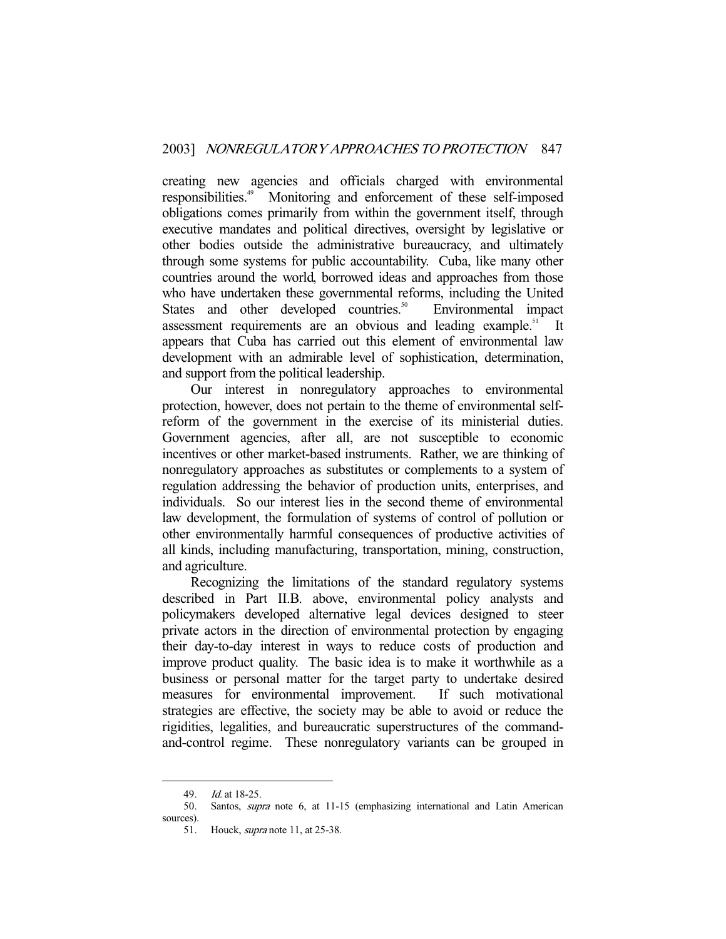creating new agencies and officials charged with environmental responsibilities.49 Monitoring and enforcement of these self-imposed obligations comes primarily from within the government itself, through executive mandates and political directives, oversight by legislative or other bodies outside the administrative bureaucracy, and ultimately through some systems for public accountability. Cuba, like many other countries around the world, borrowed ideas and approaches from those who have undertaken these governmental reforms, including the United States and other developed countries.<sup>50</sup> Environmental impact assessment requirements are an obvious and leading example. $51$  It appears that Cuba has carried out this element of environmental law development with an admirable level of sophistication, determination, and support from the political leadership.

 Our interest in nonregulatory approaches to environmental protection, however, does not pertain to the theme of environmental selfreform of the government in the exercise of its ministerial duties. Government agencies, after all, are not susceptible to economic incentives or other market-based instruments. Rather, we are thinking of nonregulatory approaches as substitutes or complements to a system of regulation addressing the behavior of production units, enterprises, and individuals. So our interest lies in the second theme of environmental law development, the formulation of systems of control of pollution or other environmentally harmful consequences of productive activities of all kinds, including manufacturing, transportation, mining, construction, and agriculture.

 Recognizing the limitations of the standard regulatory systems described in Part II.B. above, environmental policy analysts and policymakers developed alternative legal devices designed to steer private actors in the direction of environmental protection by engaging their day-to-day interest in ways to reduce costs of production and improve product quality. The basic idea is to make it worthwhile as a business or personal matter for the target party to undertake desired measures for environmental improvement. If such motivational strategies are effective, the society may be able to avoid or reduce the rigidities, legalities, and bureaucratic superstructures of the commandand-control regime. These nonregulatory variants can be grouped in

 <sup>49.</sup> Id. at 18-25.

 <sup>50.</sup> Santos, supra note 6, at 11-15 (emphasizing international and Latin American sources).

 <sup>51.</sup> Houck, supra note 11, at 25-38.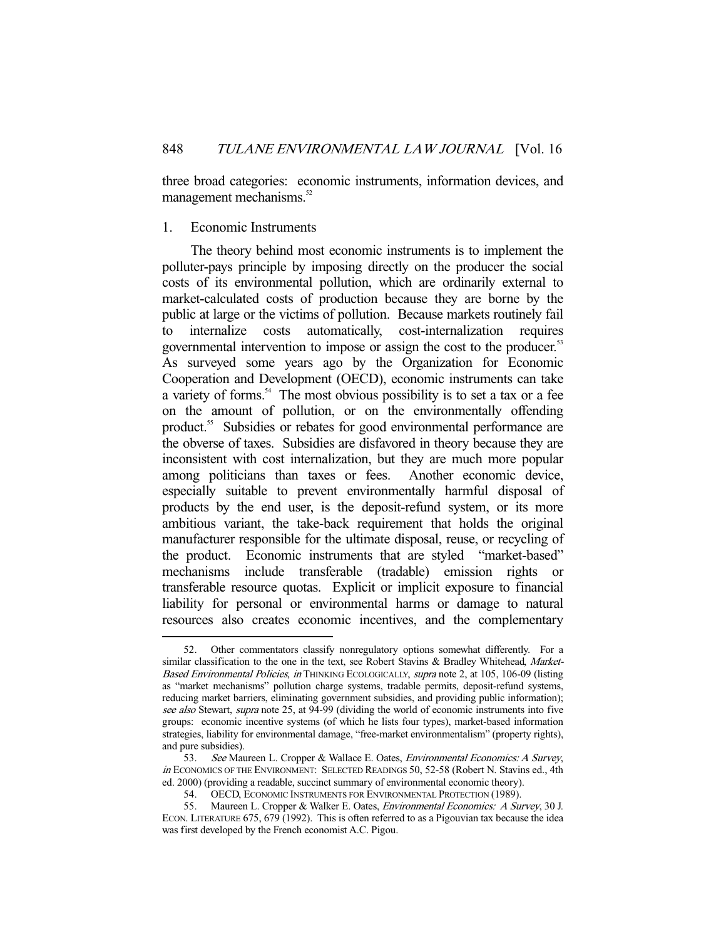three broad categories: economic instruments, information devices, and management mechanisms.<sup>52</sup>

### 1. Economic Instruments

-

 The theory behind most economic instruments is to implement the polluter-pays principle by imposing directly on the producer the social costs of its environmental pollution, which are ordinarily external to market-calculated costs of production because they are borne by the public at large or the victims of pollution. Because markets routinely fail to internalize costs automatically, cost-internalization requires governmental intervention to impose or assign the cost to the producer.<sup>53</sup> As surveyed some years ago by the Organization for Economic Cooperation and Development (OECD), economic instruments can take a variety of forms.<sup>54</sup> The most obvious possibility is to set a tax or a fee on the amount of pollution, or on the environmentally offending product.55 Subsidies or rebates for good environmental performance are the obverse of taxes. Subsidies are disfavored in theory because they are inconsistent with cost internalization, but they are much more popular among politicians than taxes or fees. Another economic device, especially suitable to prevent environmentally harmful disposal of products by the end user, is the deposit-refund system, or its more ambitious variant, the take-back requirement that holds the original manufacturer responsible for the ultimate disposal, reuse, or recycling of the product. Economic instruments that are styled "market-based" mechanisms include transferable (tradable) emission rights or transferable resource quotas. Explicit or implicit exposure to financial liability for personal or environmental harms or damage to natural resources also creates economic incentives, and the complementary

Other commentators classify nonregulatory options somewhat differently. For a similar classification to the one in the text, see Robert Stavins & Bradley Whitehead, Market-Based Environmental Policies, in THINKING ECOLOGICALLY, supra note 2, at 105, 106-09 (listing as "market mechanisms" pollution charge systems, tradable permits, deposit-refund systems, reducing market barriers, eliminating government subsidies, and providing public information); see also Stewart, supra note 25, at 94-99 (dividing the world of economic instruments into five groups: economic incentive systems (of which he lists four types), market-based information strategies, liability for environmental damage, "free-market environmentalism" (property rights), and pure subsidies).

<sup>53.</sup> See Maureen L. Cropper & Wallace E. Oates, *Environmental Economics: A Survey*, in ECONOMICS OF THE ENVIRONMENT: SELECTED READINGS 50, 52-58 (Robert N. Stavins ed., 4th ed. 2000) (providing a readable, succinct summary of environmental economic theory).

 <sup>54.</sup> OECD, ECONOMIC INSTRUMENTS FOR ENVIRONMENTAL PROTECTION (1989).

 <sup>55.</sup> Maureen L. Cropper & Walker E. Oates, Environmental Economics: A Survey, 30 J. ECON. LITERATURE 675, 679 (1992). This is often referred to as a Pigouvian tax because the idea was first developed by the French economist A.C. Pigou.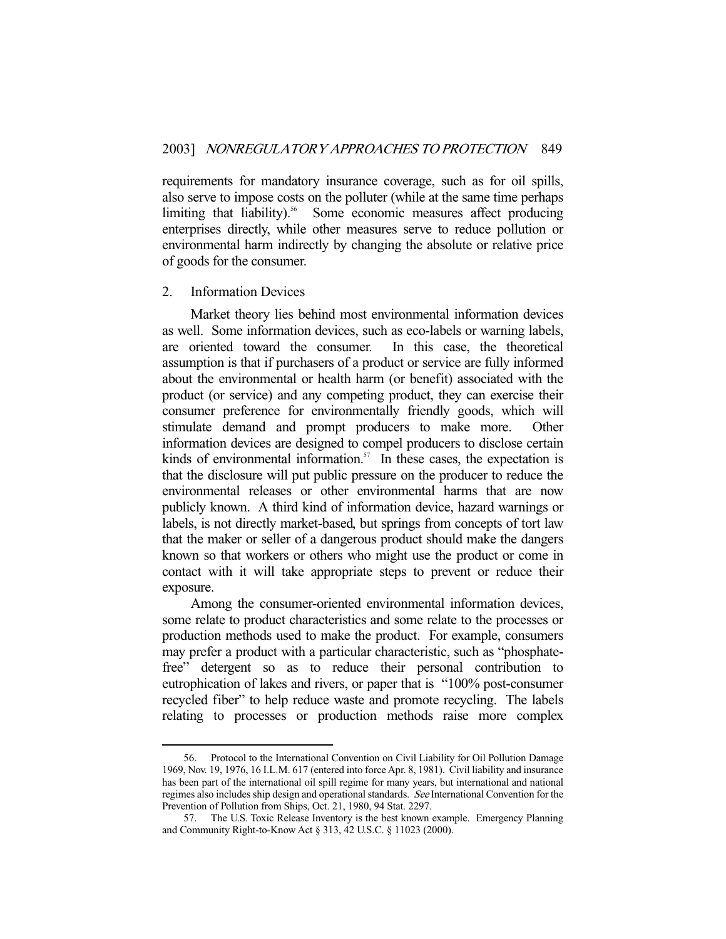requirements for mandatory insurance coverage, such as for oil spills, also serve to impose costs on the polluter (while at the same time perhaps limiting that liability).<sup>56</sup> Some economic measures affect producing enterprises directly, while other measures serve to reduce pollution or environmental harm indirectly by changing the absolute or relative price of goods for the consumer.

#### 2. Information Devices

-

 Market theory lies behind most environmental information devices as well. Some information devices, such as eco-labels or warning labels, are oriented toward the consumer. In this case, the theoretical assumption is that if purchasers of a product or service are fully informed about the environmental or health harm (or benefit) associated with the product (or service) and any competing product, they can exercise their consumer preference for environmentally friendly goods, which will stimulate demand and prompt producers to make more. Other information devices are designed to compel producers to disclose certain kinds of environmental information.<sup>57</sup> In these cases, the expectation is that the disclosure will put public pressure on the producer to reduce the environmental releases or other environmental harms that are now publicly known. A third kind of information device, hazard warnings or labels, is not directly market-based, but springs from concepts of tort law that the maker or seller of a dangerous product should make the dangers known so that workers or others who might use the product or come in contact with it will take appropriate steps to prevent or reduce their exposure.

 Among the consumer-oriented environmental information devices, some relate to product characteristics and some relate to the processes or production methods used to make the product. For example, consumers may prefer a product with a particular characteristic, such as "phosphatefree" detergent so as to reduce their personal contribution to eutrophication of lakes and rivers, or paper that is "100% post-consumer recycled fiber" to help reduce waste and promote recycling. The labels relating to processes or production methods raise more complex

 <sup>56.</sup> Protocol to the International Convention on Civil Liability for Oil Pollution Damage 1969, Nov. 19, 1976, 16 I.L.M. 617 (entered into force Apr. 8, 1981). Civil liability and insurance has been part of the international oil spill regime for many years, but international and national regimes also includes ship design and operational standards. See International Convention for the Prevention of Pollution from Ships, Oct. 21, 1980, 94 Stat. 2297.

 <sup>57.</sup> The U.S. Toxic Release Inventory is the best known example. Emergency Planning and Community Right-to-Know Act § 313, 42 U.S.C. § 11023 (2000).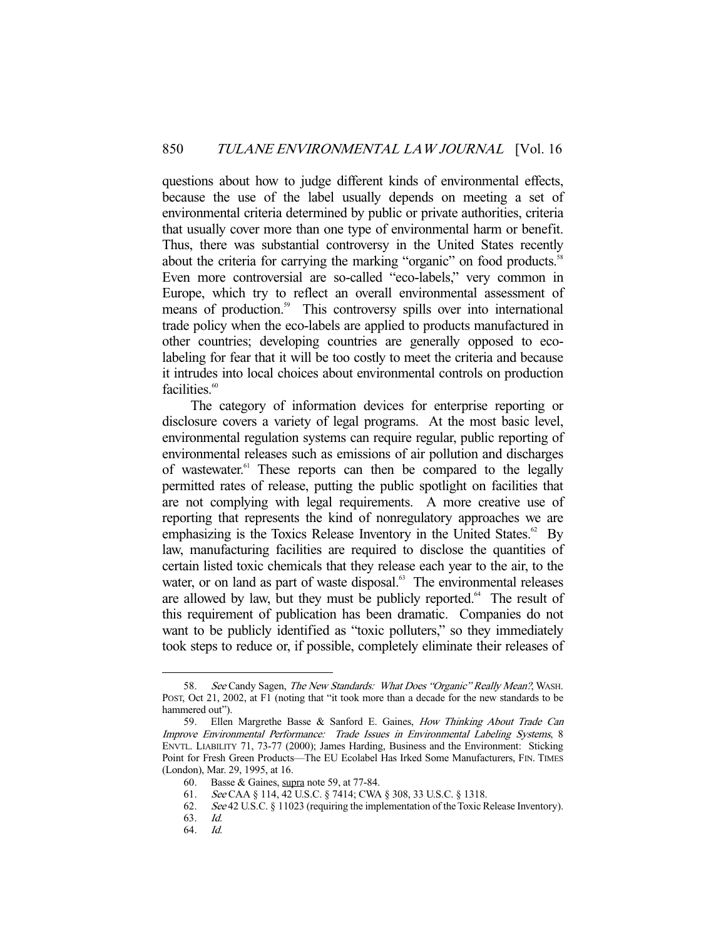questions about how to judge different kinds of environmental effects, because the use of the label usually depends on meeting a set of environmental criteria determined by public or private authorities, criteria that usually cover more than one type of environmental harm or benefit. Thus, there was substantial controversy in the United States recently about the criteria for carrying the marking "organic" on food products.<sup>58</sup> Even more controversial are so-called "eco-labels," very common in Europe, which try to reflect an overall environmental assessment of means of production.<sup>59</sup> This controversy spills over into international trade policy when the eco-labels are applied to products manufactured in other countries; developing countries are generally opposed to ecolabeling for fear that it will be too costly to meet the criteria and because it intrudes into local choices about environmental controls on production facilities.<sup>60</sup>

 The category of information devices for enterprise reporting or disclosure covers a variety of legal programs. At the most basic level, environmental regulation systems can require regular, public reporting of environmental releases such as emissions of air pollution and discharges of wastewater.<sup>61</sup> These reports can then be compared to the legally permitted rates of release, putting the public spotlight on facilities that are not complying with legal requirements. A more creative use of reporting that represents the kind of nonregulatory approaches we are emphasizing is the Toxics Release Inventory in the United States.<sup>62</sup> By law, manufacturing facilities are required to disclose the quantities of certain listed toxic chemicals that they release each year to the air, to the water, or on land as part of waste disposal.<sup>63</sup> The environmental releases are allowed by law, but they must be publicly reported. $64$  The result of this requirement of publication has been dramatic. Companies do not want to be publicly identified as "toxic polluters," so they immediately took steps to reduce or, if possible, completely eliminate their releases of

<sup>58.</sup> See Candy Sagen, The New Standards: What Does "Organic" Really Mean?, WASH. POST, Oct 21, 2002, at F1 (noting that "it took more than a decade for the new standards to be hammered out").

<sup>59.</sup> Ellen Margrethe Basse & Sanford E. Gaines, How Thinking About Trade Can Improve Environmental Performance: Trade Issues in Environmental Labeling Systems, 8 ENVTL. LIABILITY 71, 73-77 (2000); James Harding, Business and the Environment: Sticking Point for Fresh Green Products—The EU Ecolabel Has Irked Some Manufacturers, FIN. TIMES (London), Mar. 29, 1995, at 16.

<sup>60.</sup> Basse & Gaines, supra note 59, at  $77-84$ .

 <sup>61.</sup> See CAA § 114, 42 U.S.C. § 7414; CWA § 308, 33 U.S.C. § 1318.

 <sup>62.</sup> See 42 U.S.C. § 11023 (requiring the implementation of the Toxic Release Inventory).

 <sup>63.</sup> Id.

 <sup>64.</sup> Id.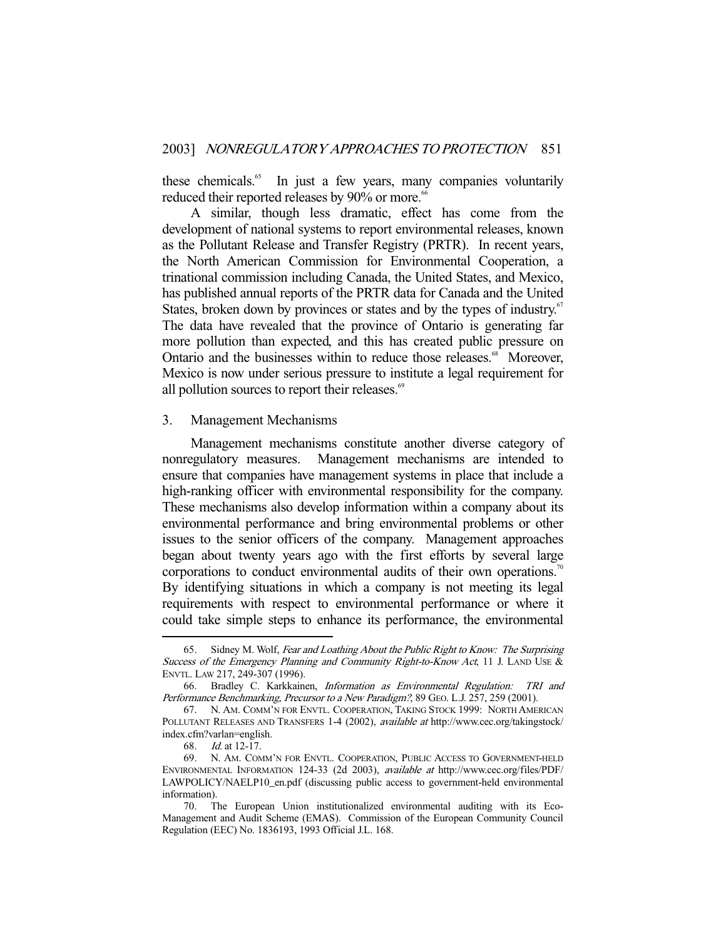these chemicals.<sup>65</sup> In just a few years, many companies voluntarily reduced their reported releases by 90% or more.<sup>66</sup>

 A similar, though less dramatic, effect has come from the development of national systems to report environmental releases, known as the Pollutant Release and Transfer Registry (PRTR). In recent years, the North American Commission for Environmental Cooperation, a trinational commission including Canada, the United States, and Mexico, has published annual reports of the PRTR data for Canada and the United States, broken down by provinces or states and by the types of industry.<sup>67</sup> The data have revealed that the province of Ontario is generating far more pollution than expected, and this has created public pressure on Ontario and the businesses within to reduce those releases.<sup>68</sup> Moreover, Mexico is now under serious pressure to institute a legal requirement for all pollution sources to report their releases.<sup>69</sup>

#### 3. Management Mechanisms

 Management mechanisms constitute another diverse category of nonregulatory measures. Management mechanisms are intended to ensure that companies have management systems in place that include a high-ranking officer with environmental responsibility for the company. These mechanisms also develop information within a company about its environmental performance and bring environmental problems or other issues to the senior officers of the company. Management approaches began about twenty years ago with the first efforts by several large corporations to conduct environmental audits of their own operations.<sup>70</sup> By identifying situations in which a company is not meeting its legal requirements with respect to environmental performance or where it could take simple steps to enhance its performance, the environmental

Sidney M. Wolf, Fear and Loathing About the Public Right to Know: The Surprising Success of the Emergency Planning and Community Right-to-Know Act, 11 J. LAND USE & ENVTL. LAW 217, 249-307 (1996).

 <sup>66.</sup> Bradley C. Karkkainen, Information as Environmental Regulation: TRI and Performance Benchmarking, Precursor to a New Paradigm?, 89 GEO. L.J. 257, 259 (2001).

 <sup>67.</sup> N. AM. COMM'N FOR ENVTL. COOPERATION, TAKING STOCK 1999: NORTH AMERICAN POLLUTANT RELEASES AND TRANSFERS 1-4 (2002), *available at* http://www.cec.org/takingstock/ index.cfm?varlan=english.

 <sup>68.</sup> Id. at 12-17.

 <sup>69.</sup> N. AM. COMM'N FOR ENVTL. COOPERATION, PUBLIC ACCESS TO GOVERNMENT-HELD ENVIRONMENTAL INFORMATION 124-33 (2d 2003), available at http://www.cec.org/files/PDF/ LAWPOLICY/NAELP10\_en.pdf (discussing public access to government-held environmental information).

 <sup>70.</sup> The European Union institutionalized environmental auditing with its Eco-Management and Audit Scheme (EMAS). Commission of the European Community Council Regulation (EEC) No. 1836193, 1993 Official J.L. 168.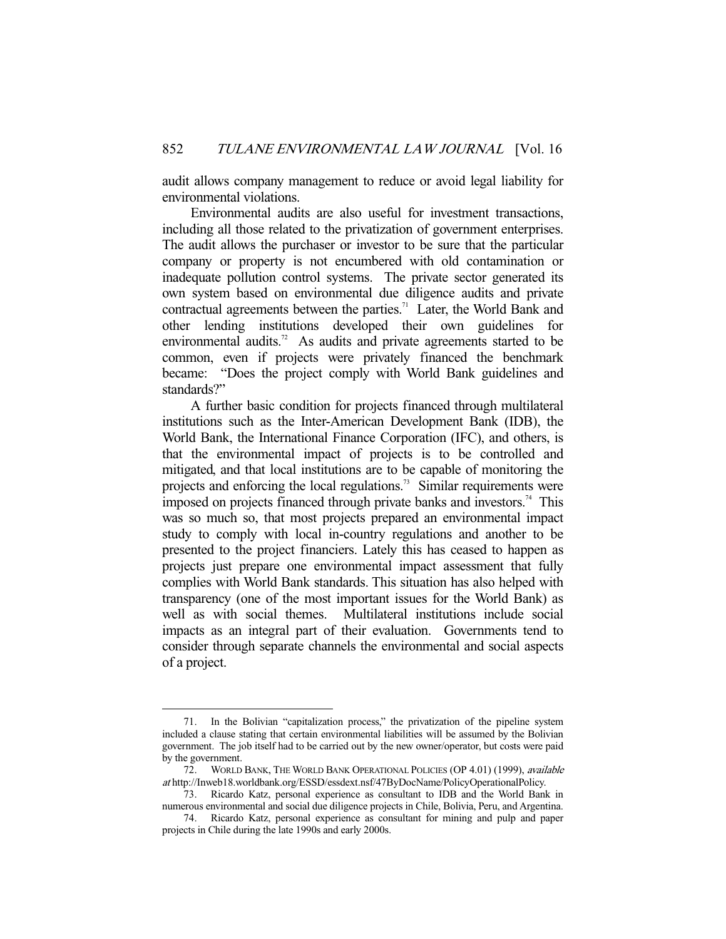audit allows company management to reduce or avoid legal liability for environmental violations.

 Environmental audits are also useful for investment transactions, including all those related to the privatization of government enterprises. The audit allows the purchaser or investor to be sure that the particular company or property is not encumbered with old contamination or inadequate pollution control systems. The private sector generated its own system based on environmental due diligence audits and private contractual agreements between the parties.<sup>71</sup> Later, the World Bank and other lending institutions developed their own guidelines for environmental audits.<sup>72</sup> As audits and private agreements started to be common, even if projects were privately financed the benchmark became: "Does the project comply with World Bank guidelines and standards?"

 A further basic condition for projects financed through multilateral institutions such as the Inter-American Development Bank (IDB), the World Bank, the International Finance Corporation (IFC), and others, is that the environmental impact of projects is to be controlled and mitigated, and that local institutions are to be capable of monitoring the projects and enforcing the local regulations.<sup>73</sup> Similar requirements were imposed on projects financed through private banks and investors.<sup>74</sup> This was so much so, that most projects prepared an environmental impact study to comply with local in-country regulations and another to be presented to the project financiers. Lately this has ceased to happen as projects just prepare one environmental impact assessment that fully complies with World Bank standards. This situation has also helped with transparency (one of the most important issues for the World Bank) as well as with social themes. Multilateral institutions include social impacts as an integral part of their evaluation. Governments tend to consider through separate channels the environmental and social aspects of a project.

 <sup>71.</sup> In the Bolivian "capitalization process," the privatization of the pipeline system included a clause stating that certain environmental liabilities will be assumed by the Bolivian government. The job itself had to be carried out by the new owner/operator, but costs were paid by the government.

<sup>72.</sup> WORLD BANK, THE WORLD BANK OPERATIONAL POLICIES (OP 4.01) (1999), available at http://Inweb18.worldbank.org/ESSD/essdext.nsf/47ByDocName/PolicyOperationalPolicy.

 <sup>73.</sup> Ricardo Katz, personal experience as consultant to IDB and the World Bank in numerous environmental and social due diligence projects in Chile, Bolivia, Peru, and Argentina.

 <sup>74.</sup> Ricardo Katz, personal experience as consultant for mining and pulp and paper projects in Chile during the late 1990s and early 2000s.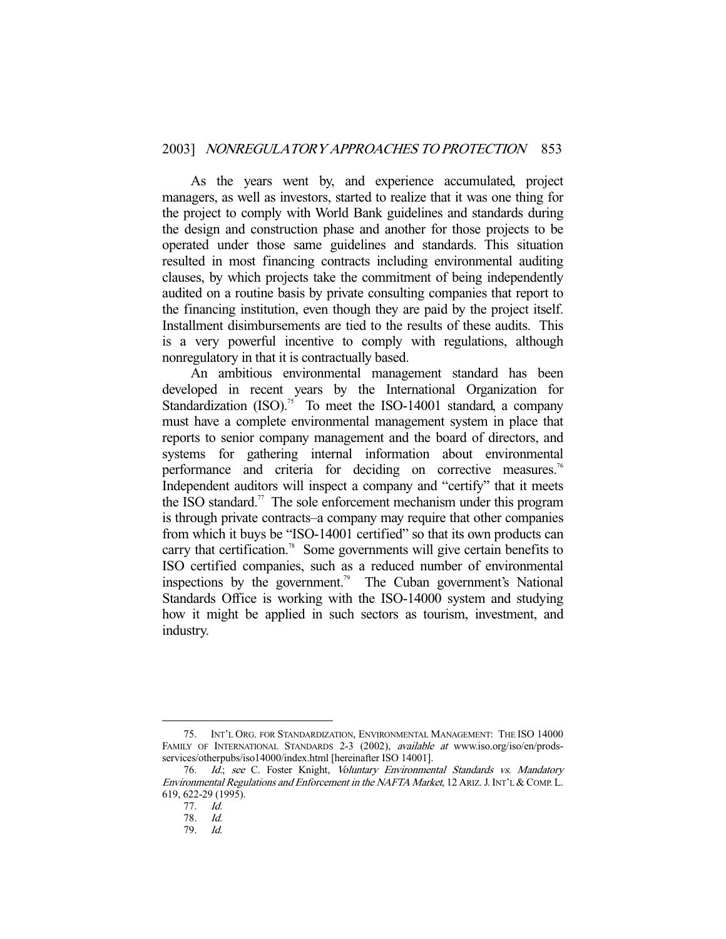As the years went by, and experience accumulated, project managers, as well as investors, started to realize that it was one thing for the project to comply with World Bank guidelines and standards during the design and construction phase and another for those projects to be operated under those same guidelines and standards. This situation resulted in most financing contracts including environmental auditing clauses, by which projects take the commitment of being independently audited on a routine basis by private consulting companies that report to the financing institution, even though they are paid by the project itself. Installment disimbursements are tied to the results of these audits. This is a very powerful incentive to comply with regulations, although nonregulatory in that it is contractually based.

 An ambitious environmental management standard has been developed in recent years by the International Organization for Standardization  $(ISO)$ <sup>75</sup> To meet the ISO-14001 standard, a company must have a complete environmental management system in place that reports to senior company management and the board of directors, and systems for gathering internal information about environmental performance and criteria for deciding on corrective measures.<sup>76</sup> Independent auditors will inspect a company and "certify" that it meets the ISO standard.<sup>77</sup> The sole enforcement mechanism under this program is through private contracts–a company may require that other companies from which it buys be "ISO-14001 certified" so that its own products can carry that certification.<sup>78</sup> Some governments will give certain benefits to ISO certified companies, such as a reduced number of environmental inspections by the government.<sup>79</sup> The Cuban government's National Standards Office is working with the ISO-14000 system and studying how it might be applied in such sectors as tourism, investment, and industry.

 <sup>75.</sup> INT'L ORG. FOR STANDARDIZATION, ENVIRONMENTAL MANAGEMENT: THE ISO 14000 FAMILY OF INTERNATIONAL STANDARDS 2-3 (2002), *available at* www.iso.org/iso/en/prodsservices/otherpubs/iso14000/index.html [hereinafter ISO 14001].

<sup>76.</sup> Id.; see C. Foster Knight, Voluntary Environmental Standards vs. Mandatory Environmental Regulations and Enforcement in the NAFTA Market, 12 ARIZ. J. INT'L & COMP. L. 619, 622-29 (1995).

 <sup>77.</sup> Id.

 <sup>78.</sup> Id.

 <sup>79.</sup> Id.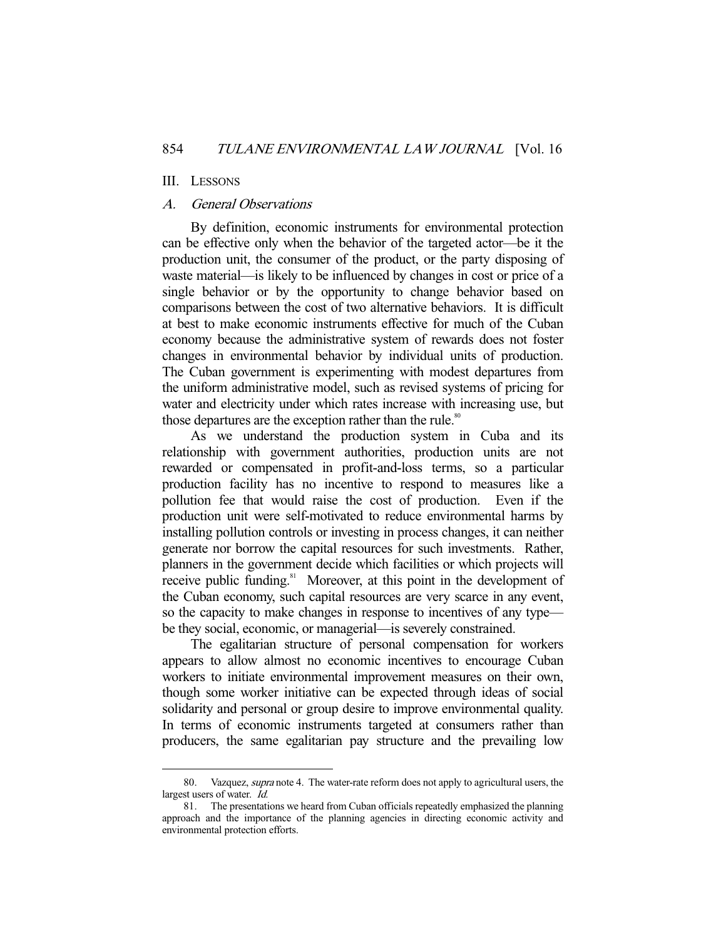#### III. LESSONS

-

## A. General Observations

 By definition, economic instruments for environmental protection can be effective only when the behavior of the targeted actor—be it the production unit, the consumer of the product, or the party disposing of waste material—is likely to be influenced by changes in cost or price of a single behavior or by the opportunity to change behavior based on comparisons between the cost of two alternative behaviors. It is difficult at best to make economic instruments effective for much of the Cuban economy because the administrative system of rewards does not foster changes in environmental behavior by individual units of production. The Cuban government is experimenting with modest departures from the uniform administrative model, such as revised systems of pricing for water and electricity under which rates increase with increasing use, but those departures are the exception rather than the rule.<sup>80</sup>

 As we understand the production system in Cuba and its relationship with government authorities, production units are not rewarded or compensated in profit-and-loss terms, so a particular production facility has no incentive to respond to measures like a pollution fee that would raise the cost of production. Even if the production unit were self-motivated to reduce environmental harms by installing pollution controls or investing in process changes, it can neither generate nor borrow the capital resources for such investments. Rather, planners in the government decide which facilities or which projects will receive public funding.<sup>81</sup> Moreover, at this point in the development of the Cuban economy, such capital resources are very scarce in any event, so the capacity to make changes in response to incentives of any type be they social, economic, or managerial—is severely constrained.

 The egalitarian structure of personal compensation for workers appears to allow almost no economic incentives to encourage Cuban workers to initiate environmental improvement measures on their own, though some worker initiative can be expected through ideas of social solidarity and personal or group desire to improve environmental quality. In terms of economic instruments targeted at consumers rather than producers, the same egalitarian pay structure and the prevailing low

<sup>80.</sup> Vazquez, *supra* note 4. The water-rate reform does not apply to agricultural users, the largest users of water. Id.

 <sup>81.</sup> The presentations we heard from Cuban officials repeatedly emphasized the planning approach and the importance of the planning agencies in directing economic activity and environmental protection efforts.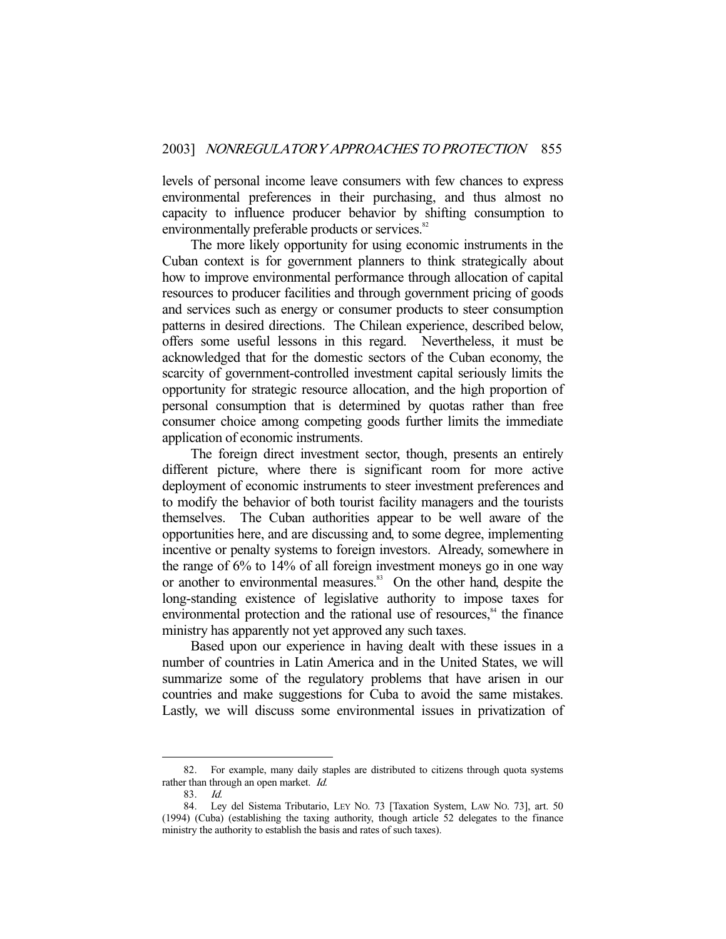levels of personal income leave consumers with few chances to express environmental preferences in their purchasing, and thus almost no capacity to influence producer behavior by shifting consumption to environmentally preferable products or services.<sup>82</sup>

 The more likely opportunity for using economic instruments in the Cuban context is for government planners to think strategically about how to improve environmental performance through allocation of capital resources to producer facilities and through government pricing of goods and services such as energy or consumer products to steer consumption patterns in desired directions. The Chilean experience, described below, offers some useful lessons in this regard. Nevertheless, it must be acknowledged that for the domestic sectors of the Cuban economy, the scarcity of government-controlled investment capital seriously limits the opportunity for strategic resource allocation, and the high proportion of personal consumption that is determined by quotas rather than free consumer choice among competing goods further limits the immediate application of economic instruments.

 The foreign direct investment sector, though, presents an entirely different picture, where there is significant room for more active deployment of economic instruments to steer investment preferences and to modify the behavior of both tourist facility managers and the tourists themselves. The Cuban authorities appear to be well aware of the opportunities here, and are discussing and, to some degree, implementing incentive or penalty systems to foreign investors. Already, somewhere in the range of 6% to 14% of all foreign investment moneys go in one way or another to environmental measures.<sup>83</sup> On the other hand, despite the long-standing existence of legislative authority to impose taxes for environmental protection and the rational use of resources, $\frac{84}{3}$  the finance ministry has apparently not yet approved any such taxes.

 Based upon our experience in having dealt with these issues in a number of countries in Latin America and in the United States, we will summarize some of the regulatory problems that have arisen in our countries and make suggestions for Cuba to avoid the same mistakes. Lastly, we will discuss some environmental issues in privatization of

 <sup>82.</sup> For example, many daily staples are distributed to citizens through quota systems rather than through an open market. Id.

<sup>83.</sup> *Id.*<br>84. Ley Ley del Sistema Tributario, LEY No. 73 [Taxation System, LAW No. 73], art. 50 (1994) (Cuba) (establishing the taxing authority, though article 52 delegates to the finance ministry the authority to establish the basis and rates of such taxes).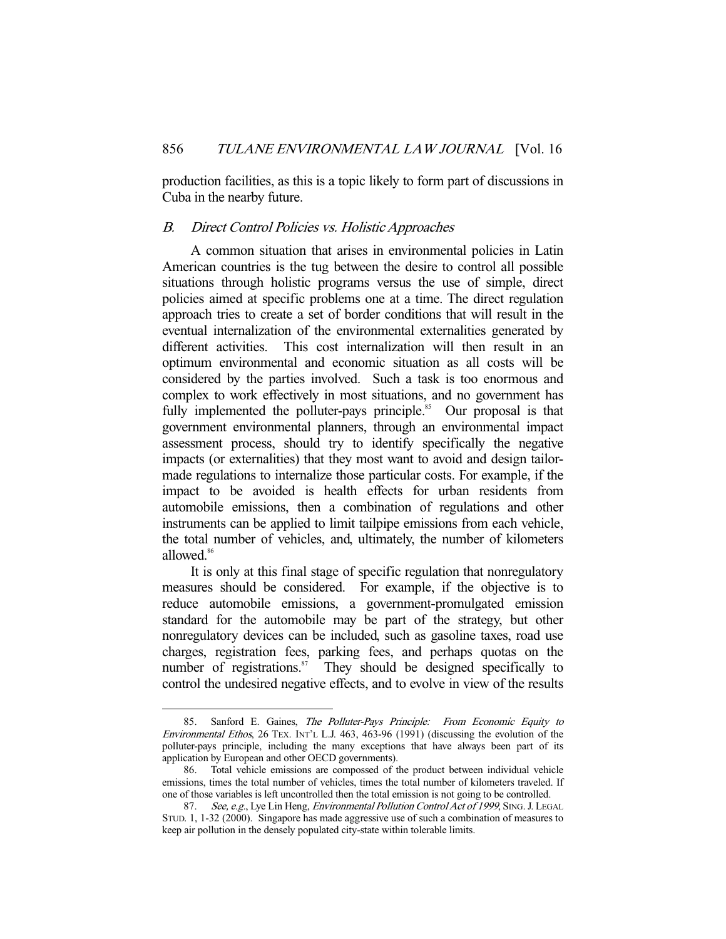production facilities, as this is a topic likely to form part of discussions in Cuba in the nearby future.

# B. Direct Control Policies vs. Holistic Approaches

 A common situation that arises in environmental policies in Latin American countries is the tug between the desire to control all possible situations through holistic programs versus the use of simple, direct policies aimed at specific problems one at a time. The direct regulation approach tries to create a set of border conditions that will result in the eventual internalization of the environmental externalities generated by different activities. This cost internalization will then result in an optimum environmental and economic situation as all costs will be considered by the parties involved. Such a task is too enormous and complex to work effectively in most situations, and no government has fully implemented the polluter-pays principle.<sup>85</sup> Our proposal is that government environmental planners, through an environmental impact assessment process, should try to identify specifically the negative impacts (or externalities) that they most want to avoid and design tailormade regulations to internalize those particular costs. For example, if the impact to be avoided is health effects for urban residents from automobile emissions, then a combination of regulations and other instruments can be applied to limit tailpipe emissions from each vehicle, the total number of vehicles, and, ultimately, the number of kilometers allowed.<sup>86</sup>

 It is only at this final stage of specific regulation that nonregulatory measures should be considered. For example, if the objective is to reduce automobile emissions, a government-promulgated emission standard for the automobile may be part of the strategy, but other nonregulatory devices can be included, such as gasoline taxes, road use charges, registration fees, parking fees, and perhaps quotas on the number of registrations. $\delta$ <sup>87</sup> They should be designed specifically to control the undesired negative effects, and to evolve in view of the results

<sup>85.</sup> Sanford E. Gaines, The Polluter-Pays Principle: From Economic Equity to Environmental Ethos, 26 TEX. INT'L L.J. 463, 463-96 (1991) (discussing the evolution of the polluter-pays principle, including the many exceptions that have always been part of its application by European and other OECD governments).

 <sup>86.</sup> Total vehicle emissions are compossed of the product between individual vehicle emissions, times the total number of vehicles, times the total number of kilometers traveled. If one of those variables is left uncontrolled then the total emission is not going to be controlled.

<sup>87.</sup> See, e.g., Lye Lin Heng, Environmental Pollution Control Act of 1999, SING. J. LEGAL STUD. 1, 1-32 (2000). Singapore has made aggressive use of such a combination of measures to keep air pollution in the densely populated city-state within tolerable limits.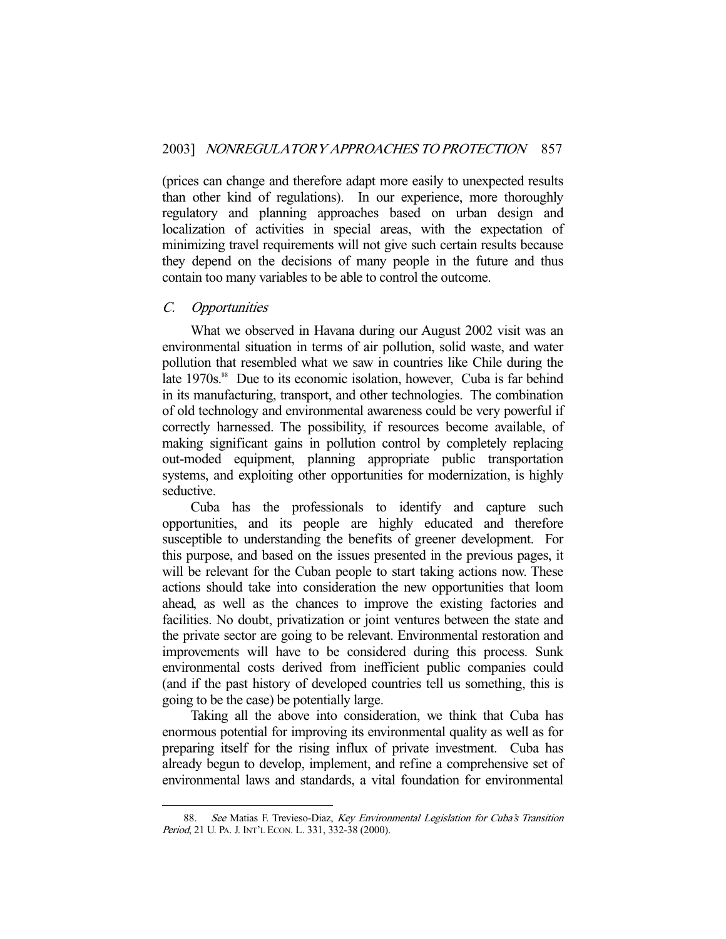(prices can change and therefore adapt more easily to unexpected results than other kind of regulations). In our experience, more thoroughly regulatory and planning approaches based on urban design and localization of activities in special areas, with the expectation of minimizing travel requirements will not give such certain results because they depend on the decisions of many people in the future and thus contain too many variables to be able to control the outcome.

# C. Opportunities

-

 What we observed in Havana during our August 2002 visit was an environmental situation in terms of air pollution, solid waste, and water pollution that resembled what we saw in countries like Chile during the late 1970s.<sup>88</sup> Due to its economic isolation, however, Cuba is far behind in its manufacturing, transport, and other technologies. The combination of old technology and environmental awareness could be very powerful if correctly harnessed. The possibility, if resources become available, of making significant gains in pollution control by completely replacing out-moded equipment, planning appropriate public transportation systems, and exploiting other opportunities for modernization, is highly seductive.

 Cuba has the professionals to identify and capture such opportunities, and its people are highly educated and therefore susceptible to understanding the benefits of greener development. For this purpose, and based on the issues presented in the previous pages, it will be relevant for the Cuban people to start taking actions now. These actions should take into consideration the new opportunities that loom ahead, as well as the chances to improve the existing factories and facilities. No doubt, privatization or joint ventures between the state and the private sector are going to be relevant. Environmental restoration and improvements will have to be considered during this process. Sunk environmental costs derived from inefficient public companies could (and if the past history of developed countries tell us something, this is going to be the case) be potentially large.

 Taking all the above into consideration, we think that Cuba has enormous potential for improving its environmental quality as well as for preparing itself for the rising influx of private investment. Cuba has already begun to develop, implement, and refine a comprehensive set of environmental laws and standards, a vital foundation for environmental

<sup>88.</sup> See Matias F. Trevieso-Diaz, Key Environmental Legislation for Cuba's Transition Period, 21 U. PA. J. INT'L ECON. L. 331, 332-38 (2000).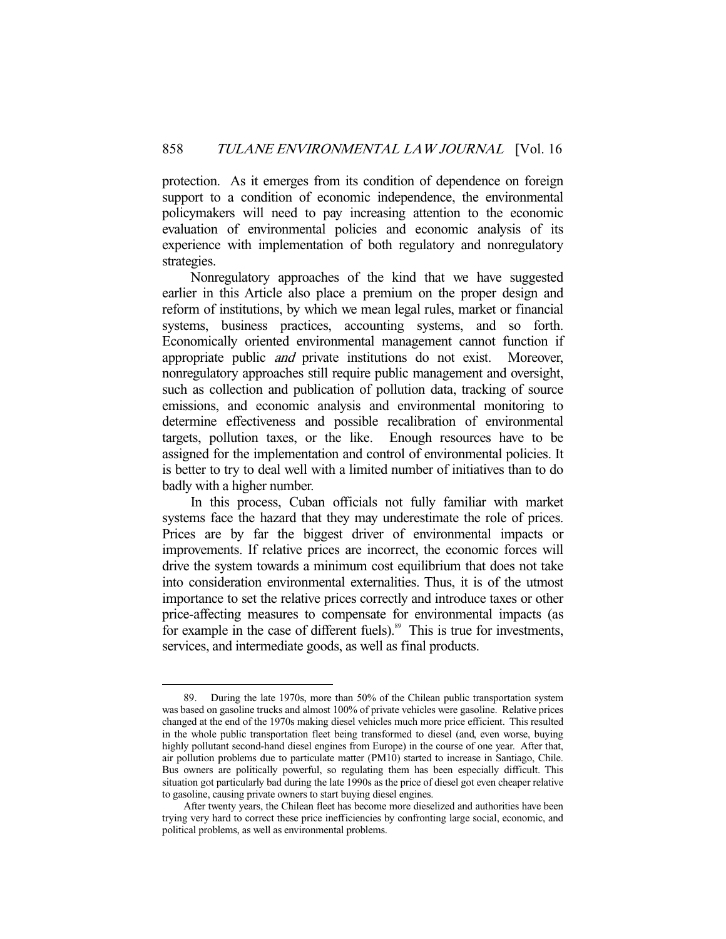protection. As it emerges from its condition of dependence on foreign support to a condition of economic independence, the environmental policymakers will need to pay increasing attention to the economic evaluation of environmental policies and economic analysis of its experience with implementation of both regulatory and nonregulatory strategies.

 Nonregulatory approaches of the kind that we have suggested earlier in this Article also place a premium on the proper design and reform of institutions, by which we mean legal rules, market or financial systems, business practices, accounting systems, and so forth. Economically oriented environmental management cannot function if appropriate public and private institutions do not exist. Moreover, nonregulatory approaches still require public management and oversight, such as collection and publication of pollution data, tracking of source emissions, and economic analysis and environmental monitoring to determine effectiveness and possible recalibration of environmental targets, pollution taxes, or the like. Enough resources have to be assigned for the implementation and control of environmental policies. It is better to try to deal well with a limited number of initiatives than to do badly with a higher number.

 In this process, Cuban officials not fully familiar with market systems face the hazard that they may underestimate the role of prices. Prices are by far the biggest driver of environmental impacts or improvements. If relative prices are incorrect, the economic forces will drive the system towards a minimum cost equilibrium that does not take into consideration environmental externalities. Thus, it is of the utmost importance to set the relative prices correctly and introduce taxes or other price-affecting measures to compensate for environmental impacts (as for example in the case of different fuels).<sup>89</sup> This is true for investments, services, and intermediate goods, as well as final products.

 <sup>89.</sup> During the late 1970s, more than 50% of the Chilean public transportation system was based on gasoline trucks and almost 100% of private vehicles were gasoline. Relative prices changed at the end of the 1970s making diesel vehicles much more price efficient. This resulted in the whole public transportation fleet being transformed to diesel (and, even worse, buying highly pollutant second-hand diesel engines from Europe) in the course of one year. After that, air pollution problems due to particulate matter (PM10) started to increase in Santiago, Chile. Bus owners are politically powerful, so regulating them has been especially difficult. This situation got particularly bad during the late 1990s as the price of diesel got even cheaper relative to gasoline, causing private owners to start buying diesel engines.

After twenty years, the Chilean fleet has become more dieselized and authorities have been trying very hard to correct these price inefficiencies by confronting large social, economic, and political problems, as well as environmental problems.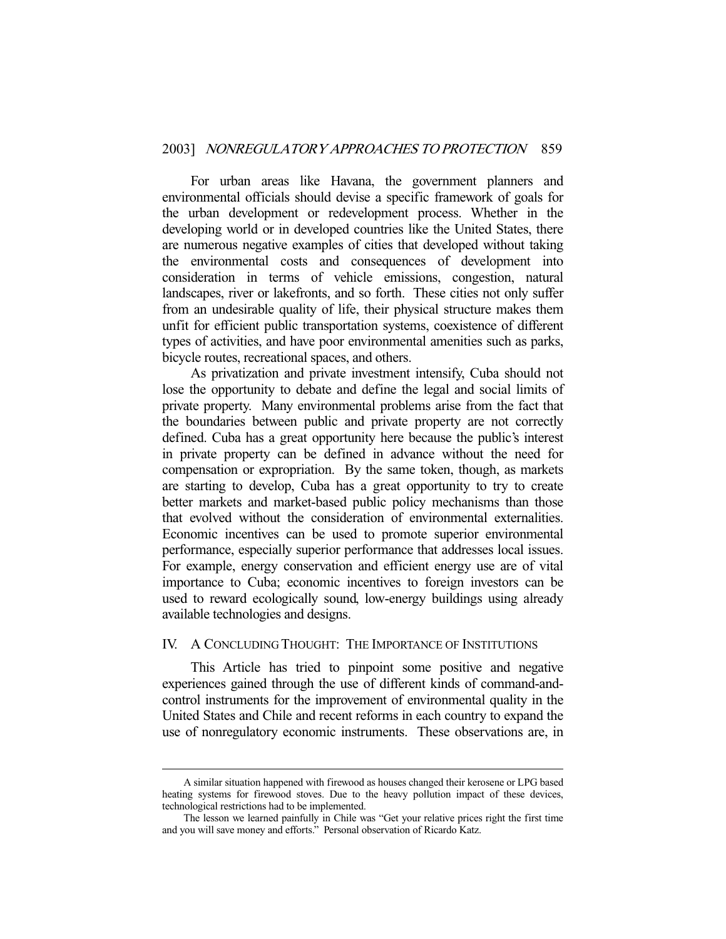For urban areas like Havana, the government planners and environmental officials should devise a specific framework of goals for the urban development or redevelopment process. Whether in the developing world or in developed countries like the United States, there are numerous negative examples of cities that developed without taking the environmental costs and consequences of development into consideration in terms of vehicle emissions, congestion, natural landscapes, river or lakefronts, and so forth. These cities not only suffer from an undesirable quality of life, their physical structure makes them unfit for efficient public transportation systems, coexistence of different types of activities, and have poor environmental amenities such as parks, bicycle routes, recreational spaces, and others.

 As privatization and private investment intensify, Cuba should not lose the opportunity to debate and define the legal and social limits of private property. Many environmental problems arise from the fact that the boundaries between public and private property are not correctly defined. Cuba has a great opportunity here because the public's interest in private property can be defined in advance without the need for compensation or expropriation. By the same token, though, as markets are starting to develop, Cuba has a great opportunity to try to create better markets and market-based public policy mechanisms than those that evolved without the consideration of environmental externalities. Economic incentives can be used to promote superior environmental performance, especially superior performance that addresses local issues. For example, energy conservation and efficient energy use are of vital importance to Cuba; economic incentives to foreign investors can be used to reward ecologically sound, low-energy buildings using already available technologies and designs.

# IV. A CONCLUDING THOUGHT: THE IMPORTANCE OF INSTITUTIONS

 This Article has tried to pinpoint some positive and negative experiences gained through the use of different kinds of command-andcontrol instruments for the improvement of environmental quality in the United States and Chile and recent reforms in each country to expand the use of nonregulatory economic instruments. These observations are, in

A similar situation happened with firewood as houses changed their kerosene or LPG based heating systems for firewood stoves. Due to the heavy pollution impact of these devices, technological restrictions had to be implemented.

The lesson we learned painfully in Chile was "Get your relative prices right the first time and you will save money and efforts." Personal observation of Ricardo Katz.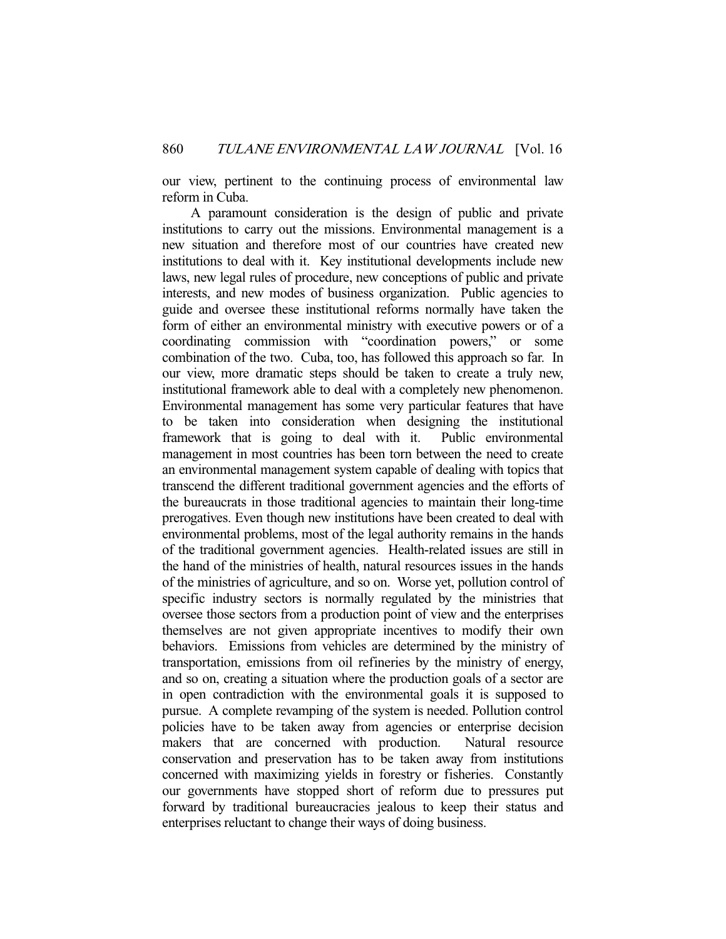our view, pertinent to the continuing process of environmental law reform in Cuba.

 A paramount consideration is the design of public and private institutions to carry out the missions. Environmental management is a new situation and therefore most of our countries have created new institutions to deal with it. Key institutional developments include new laws, new legal rules of procedure, new conceptions of public and private interests, and new modes of business organization. Public agencies to guide and oversee these institutional reforms normally have taken the form of either an environmental ministry with executive powers or of a coordinating commission with "coordination powers," or some combination of the two. Cuba, too, has followed this approach so far. In our view, more dramatic steps should be taken to create a truly new, institutional framework able to deal with a completely new phenomenon. Environmental management has some very particular features that have to be taken into consideration when designing the institutional framework that is going to deal with it. Public environmental framework that is going to deal with it. management in most countries has been torn between the need to create an environmental management system capable of dealing with topics that transcend the different traditional government agencies and the efforts of the bureaucrats in those traditional agencies to maintain their long-time prerogatives. Even though new institutions have been created to deal with environmental problems, most of the legal authority remains in the hands of the traditional government agencies. Health-related issues are still in the hand of the ministries of health, natural resources issues in the hands of the ministries of agriculture, and so on. Worse yet, pollution control of specific industry sectors is normally regulated by the ministries that oversee those sectors from a production point of view and the enterprises themselves are not given appropriate incentives to modify their own behaviors. Emissions from vehicles are determined by the ministry of transportation, emissions from oil refineries by the ministry of energy, and so on, creating a situation where the production goals of a sector are in open contradiction with the environmental goals it is supposed to pursue. A complete revamping of the system is needed. Pollution control policies have to be taken away from agencies or enterprise decision makers that are concerned with production. Natural resource conservation and preservation has to be taken away from institutions concerned with maximizing yields in forestry or fisheries. Constantly our governments have stopped short of reform due to pressures put forward by traditional bureaucracies jealous to keep their status and enterprises reluctant to change their ways of doing business.